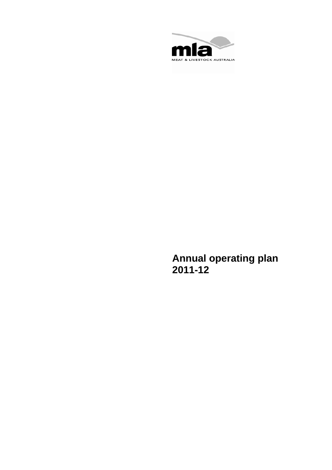

**Annual operating plan 2011-12**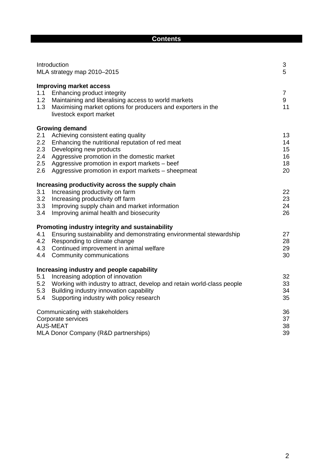| ٠ | o<br>m<br>'' | m |
|---|--------------|---|
|   |              |   |

|                                        | Introduction<br>MLA strategy map 2010-2015                                                                                                                                                                                                                               | 3<br>5                           |
|----------------------------------------|--------------------------------------------------------------------------------------------------------------------------------------------------------------------------------------------------------------------------------------------------------------------------|----------------------------------|
| 1.1<br>1.2<br>1.3                      | <b>Improving market access</b><br>Enhancing product integrity<br>Maintaining and liberalising access to world markets<br>Maximising market options for producers and exporters in the<br>livestock export market                                                         | $\overline{7}$<br>9<br>11        |
|                                        | <b>Growing demand</b>                                                                                                                                                                                                                                                    |                                  |
| 2.1<br>2.2<br>2.3<br>2.4<br>2.5<br>2.6 | Achieving consistent eating quality<br>Enhancing the nutritional reputation of red meat<br>Developing new products<br>Aggressive promotion in the domestic market<br>Aggressive promotion in export markets - beef<br>Aggressive promotion in export markets – sheepmeat | 13<br>14<br>15<br>16<br>18<br>20 |
|                                        | Increasing productivity across the supply chain                                                                                                                                                                                                                          |                                  |
| 3.1<br>3.2<br>3.3<br>3.4               | Increasing productivity on farm<br>Increasing productivity off farm<br>Improving supply chain and market information<br>Improving animal health and biosecurity                                                                                                          | 22<br>23<br>24<br>26             |
|                                        | Promoting industry integrity and sustainability                                                                                                                                                                                                                          |                                  |
| 4.1<br>4.2<br>4.3<br>4.4               | Ensuring sustainability and demonstrating environmental stewardship<br>Responding to climate change<br>Continued improvement in animal welfare<br>Community communications                                                                                               | 27<br>28<br>29<br>30             |
|                                        | Increasing industry and people capability                                                                                                                                                                                                                                |                                  |
| 5.1<br>5.2<br>5.3<br>5.4               | Increasing adoption of innovation<br>Working with industry to attract, develop and retain world-class people<br>Building industry innovation capability<br>Supporting industry with policy research                                                                      | 32<br>33<br>34<br>35             |
|                                        | Communicating with stakeholders<br>Corporate services<br><b>AUS-MEAT</b><br>MLA Donor Company (R&D partnerships)                                                                                                                                                         | 36<br>37<br>38<br>39             |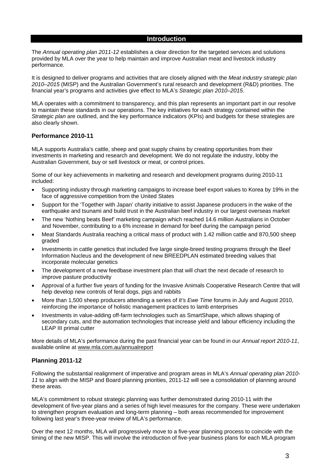#### **Introduction**

The *Annual operating plan 2011-12* establishes a clear direction for the targeted services and solutions provided by MLA over the year to help maintain and improve Australian meat and livestock industry performance.

It is designed to deliver programs and activities that are closely aligned with the *Meat industry strategic plan 2010–2015* (MISP) and the Australian Government's rural research and development (R&D) priorities. The financial year's programs and activities give effect to MLA's *Strategic plan 2010–2015*.

MLA operates with a commitment to transparency, and this plan represents an important part in our resolve to maintain these standards in our operations. The key initiatives for each strategy contained within the *Strategic plan* are outlined, and the key performance indicators (KPIs) and budgets for these strategies are also clearly shown.

# **Performance 2010-11**

MLA supports Australia's cattle, sheep and goat supply chains by creating opportunities from their investments in marketing and research and development. We do not regulate the industry, lobby the Australian Government, buy or sell livestock or meat, or control prices.

Some of our key achievements in marketing and research and development programs during 2010-11 included:

- Supporting industry through marketing campaigns to increase beef export values to Korea by 19% in the face of aggressive competition from the United States
- Support for the 'Together with Japan' charity initiative to assist Japanese producers in the wake of the earthquake and tsunami and build trust in the Australian beef industry in our largest overseas market
- The new 'Nothing beats Beef' marketing campaign which reached 14.6 million Australians in October and November, contributing to a 6% increase in demand for beef during the campaign period
- Meat Standards Australia reaching a critical mass of product with 1.42 million cattle and 870,500 sheep graded
- Investments in cattle genetics that included five large single-breed testing programs through the Beef Information Nucleus and the development of new BREEDPLAN estimated breeding values that incorporate molecular genetics
- The development of a new feedbase investment plan that will chart the next decade of research to improve pasture productivity
- Approval of a further five years of funding for the Invasive Animals Cooperative Research Centre that will help develop new controls of feral dogs, pigs and rabbits
- More than 1,500 sheep producers attending a series of *It's Ewe Time* forums in July and August 2010, reinforcing the importance of holistic management practices to lamb enterprises
- Investments in value-adding off-farm technologies such as SmartShape, which allows shaping of secondary cuts, and the automation technologies that increase yield and labour efficiency including the LEAP III primal cutter

More details of MLA's performance during the past financial year can be found in our *Annual report 2010-11*, available online at www.mla.com.au/annualreport

# **Planning 2011-12**

Following the substantial realignment of imperative and program areas in MLA's *Annual operating plan 2010- 11* to align with the MISP and Board planning priorities, 2011-12 will see a consolidation of planning around these areas.

MLA's commitment to robust strategic planning was further demonstrated during 2010-11 with the development of five-year plans and a series of high level measures for the company. These were undertaken to strengthen program evaluation and long-term planning – both areas recommended for improvement following last year's three-year review of MLA's performance.

Over the next 12 months, MLA will progressively move to a five-year planning process to coincide with the timing of the new MISP. This will involve the introduction of five-year business plans for each MLA program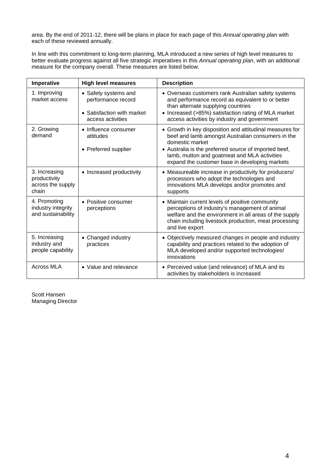area. By the end of 2011-12, there will be plans in place for each page of this *Annual operating plan* with each of these reviewed annually.

In line with this commitment to long-term planning, MLA introduced a new series of high level measures to better evaluate progress against all five strategic imperatives in this *Annual operating plan*, with an additional measure for the company overall. These measures are listed below.

| Imperative                                                  | <b>High level measures</b>                                                                    | <b>Description</b>                                                                                                                                                                                                                                                                          |
|-------------------------------------------------------------|-----------------------------------------------------------------------------------------------|---------------------------------------------------------------------------------------------------------------------------------------------------------------------------------------------------------------------------------------------------------------------------------------------|
| 1. Improving<br>market access                               | • Safety systems and<br>performance record<br>• Satisfaction with market<br>access activities | • Overseas customers rank Australian safety systems<br>and performance record as equivalent to or better<br>than alternate supplying countries<br>• Increased (>85%) satisfaction rating of MLA market<br>access activities by industry and government                                      |
| 2. Growing<br>demand                                        | • Influence consumer<br>attitudes<br>• Preferred supplier                                     | • Growth in key disposition and attitudinal measures for<br>beef and lamb amongst Australian consumers in the<br>domestic market<br>• Australia is the preferred source of imported beef,<br>lamb, mutton and goatmeat and MLA activities<br>expand the customer base in developing markets |
| 3. Increasing<br>productivity<br>across the supply<br>chain | • Increased productivity                                                                      | • Measureable increase in productivity for producers/<br>processors who adopt the technologies and<br>innovations MLA develops and/or promotes and<br>supports                                                                                                                              |
| 4. Promoting<br>industry integrity<br>and sustainability    | • Positive consumer<br>perceptions                                                            | • Maintain current levels of positive community<br>perceptions of industry's management of animal<br>welfare and the environment in all areas of the supply<br>chain including livestock production, meat processing<br>and live export                                                     |
| 5. Increasing<br>industry and<br>people capability          | • Changed industry<br>practices                                                               | • Objectively measured changes in people and industry<br>capability and practices related to the adoption of<br>MLA developed and/or supported technologies/<br>innovations                                                                                                                 |
| <b>Across MLA</b>                                           | • Value and relevance                                                                         | • Perceived value (and relevance) of MLA and its<br>activities by stakeholders is increased                                                                                                                                                                                                 |

Scott Hansen Managing Director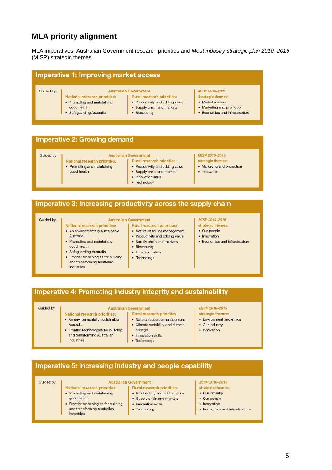# **MLA priority alignment**

MLA imperatives, Australian Government research priorities and *Meat industry strategic plan 2010–2015* (MISP) strategic themes.

| Imperative 1: Improving market access |                                                                     |                                                                                                      |                                                               |  |  |  |  |
|---------------------------------------|---------------------------------------------------------------------|------------------------------------------------------------------------------------------------------|---------------------------------------------------------------|--|--|--|--|
| Guided by                             | <b>National research priorities:</b><br>• Promoting and maintaining | <b>Australian Government</b><br><b>Rural research priorities:</b><br>• Productivity and adding value | MISP 2010-2015<br><b>Strategic themes:</b><br>• Market access |  |  |  |  |
|                                       | good health<br>• Safeguarding Australia                             | • Supply chain and markets<br>• Biosecurity                                                          | • Marketing and promotion<br>Economics and infrastructure     |  |  |  |  |

### **Imperative 2: Growing demand**

| Guided by |                                      | <b>Australian Government</b>      | MISP 2010-2015            |
|-----------|--------------------------------------|-----------------------------------|---------------------------|
|           | <b>National research priorities:</b> | <b>Rural research priorities:</b> | strategic themes:         |
|           | • Promoting and maintaining          | • Productivity and adding value   | • Marketing and promotion |
|           | good health                          | • Supply chain and markets        | Innovation                |
|           |                                      | • Innovation skills               |                           |
|           |                                      | Technology                        |                           |

# Imperative 3: Increasing productivity across the supply chain

#### Guided by

#### **Australian Government**

- **Rural research priorities:**
- Natural resource management
- Productivity and adding value • Supply chain and markets
- Biosecurity
	-
	- Innovation skills
	- Technology

#### MISP 2010-2015

- strategic themes:
- Our people
- Innovation
- Economics and infrastructure

# Imperative 4: Promoting industry integrity and sustainability

#### Guided by

#### **Australian Government** National research priorities:

• Frontier technologies for building

and transforming Australian

**National research priorities:** 

• Promoting and maintaining

• Safeguarding Australia

Australia

good health

industries

industries

industries

• An environmentally sustainable

• Frontier technologies for building

and transforming Australian

• An environmentally sustainable Australia

# **Rural research priorities:**

- Natural resource management • Climate variability and climate change
- Innovation skills
- Technology

#### MISP 2010-2015

- strategic themes:
- Environment and ethics
- Our industry
- Innovation

# Imperative 5: Increasing industry and people capability

#### Guided by

#### **Australian Government** Rural research priorities:

**National research priorities:** • Promoting and maintaining good health • Frontier technologies for building

and transforming Australian

#### • Productivity and adding value

- Supply chain and markets
- Innovation skills

#### • Technology

#### MISP 2010-2015 strategic themes:

- Our industry
- Our people
- Innovation
- Economics and infrastructure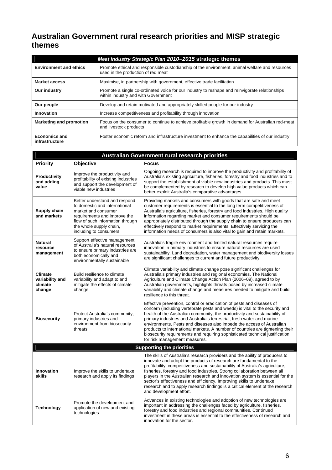# **Australian Government rural research priorities and MISP strategic themes**

|                                        | Meat Industry Strategic Plan 2010-2015 strategic themes                                                                               |
|----------------------------------------|---------------------------------------------------------------------------------------------------------------------------------------|
| <b>Environment and ethics</b>          | Promote ethical and responsible custodianship of the environment, animal welfare and resources<br>used in the production of red meat  |
| <b>Market access</b>                   | Maximise, in partnership with government, effective trade facilitation                                                                |
| Our industry                           | Promote a single co-ordinated voice for our industry to reshape and reinvigorate relationships<br>within industry and with Government |
| Our people                             | Develop and retain motivated and appropriately skilled people for our industry                                                        |
| Innovation                             | Increase competitiveness and profitability through innovation                                                                         |
| <b>Marketing and promotion</b>         | Focus on the consumer to continue to achieve profitable growth in demand for Australian red-meat<br>and livestock products            |
| <b>Economics and</b><br>infrastructure | Foster economic reform and infrastructure investment to enhance the capabilities of our industry                                      |

|                                                                                                                           |                                                                                                                                                                                                                | <b>Australian Government rural research priorities</b>                                                                                                                                                                                                                                                                                                                                                                                                                                                                                                                                  |
|---------------------------------------------------------------------------------------------------------------------------|----------------------------------------------------------------------------------------------------------------------------------------------------------------------------------------------------------------|-----------------------------------------------------------------------------------------------------------------------------------------------------------------------------------------------------------------------------------------------------------------------------------------------------------------------------------------------------------------------------------------------------------------------------------------------------------------------------------------------------------------------------------------------------------------------------------------|
| <b>Priority</b>                                                                                                           | <b>Objective</b>                                                                                                                                                                                               | <b>Focus</b>                                                                                                                                                                                                                                                                                                                                                                                                                                                                                                                                                                            |
| Productivity<br>and adding<br>value                                                                                       | Improve the productivity and<br>profitability of existing industries<br>and support the development of<br>viable new industries                                                                                | Ongoing research is required to improve the productivity and profitability of<br>Australia's existing agriculture, fisheries, forestry and food industries and to<br>support the establishment of viable new industries and products. This must<br>be complemented by research to develop high value products which can<br>better exploit Australia's comparative advantages.                                                                                                                                                                                                           |
| Supply chain<br>and markets                                                                                               | Better understand and respond<br>to domestic and international<br>market and consumer<br>requirements and improve the<br>flow of such information through<br>the whole supply chain,<br>including to consumers | Providing markets and consumers with goods that are safe and meet<br>customer requirements is essential to the long term competitiveness of<br>Australia's agriculture, fisheries, forestry and food industries. High quality<br>information regarding market and consumer requirements should be<br>appropriately distributed through the supply chain to ensure producers can<br>effectively respond to market requirements. Effectively servicing the<br>information needs of consumers is also vital to gain and retain markets.                                                    |
| <b>Natural</b><br>resource<br>management                                                                                  | Support effective management<br>of Australia's natural resources<br>to ensure primary industries are<br>both economically and<br>environmentally sustainable                                                   | Australia's fragile environment and limited natural resources require<br>innovation in primary industries to ensure natural resources are used<br>sustainability. Land degradation, water management and biodiversity losses<br>are significant challenges to current and future productivity.                                                                                                                                                                                                                                                                                          |
| <b>Climate</b><br>variability and<br>climate<br>change                                                                    | Build resilience to climate<br>variability and adapt to and<br>mitigate the effects of climate<br>change                                                                                                       | Climate variability and climate change pose significant challenges for<br>Australia's primary industries and regional economies. The National<br>Agriculture and Climate Change Action Plan (2006–09), agreed to by<br>Australian governments, highlights threats posed by increased climate<br>variability and climate change and measures needed to mitigate and build<br>resilience to this threat.                                                                                                                                                                                  |
| Protect Australia's community,<br><b>Biosecurity</b><br>primary industries and<br>environment from biosecurity<br>threats |                                                                                                                                                                                                                | Effective prevention, control or eradication of pests and diseases of<br>concern (including vertebrate pests and weeds) is vital to the security and<br>health of the Australian community, the productivity and sustainability of<br>primary industries and Australia's terrestrial, fresh water and marine<br>environments. Pests and diseases also impede the access of Australian<br>products to international markets. A number of countries are tightening their<br>biosecurity requirements and requiring sophisticated technical justification<br>for risk management measures. |
|                                                                                                                           |                                                                                                                                                                                                                | <b>Supporting the priorities</b>                                                                                                                                                                                                                                                                                                                                                                                                                                                                                                                                                        |
| Innovation<br>skills                                                                                                      | Improve the skills to undertake<br>research and apply its findings                                                                                                                                             | The skills of Australia's research providers and the ability of producers to<br>innovate and adopt the products of research are fundamental to the<br>profitability, competitiveness and sustainability of Australia's agriculture,<br>fisheries, forestry and food industries. Strong collaboration between all<br>players in the Australian research and innovation system is essential for the<br>sector's effectiveness and efficiency. Improving skills to undertake<br>research and to apply research findings is a critical element of the research<br>and development effort.   |
| <b>Technology</b>                                                                                                         | Promote the development and<br>application of new and existing<br>technologies                                                                                                                                 | Advances in existing technologies and adoption of new technologies are<br>important in addressing the challenges faced by agriculture, fisheries,<br>forestry and food industries and regional communities. Continued<br>investment in these areas is essential to the effectiveness of research and<br>innovation for the sector.                                                                                                                                                                                                                                                      |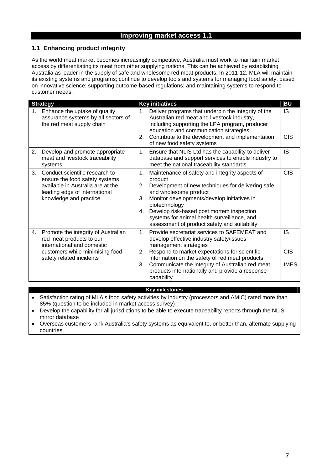# **Improving market access 1.1**

# **1.1 Enhancing product integrity**

As the world meat market becomes increasingly competitive, Australia must work to maintain market access by differentiating its meat from other supplying nations. This can be achieved by establishing Australia as leader in the supply of safe and wholesome red meat products. In 2011-12, MLA will maintain its existing systems and programs; continue to develop tools and systems for managing food safety, based on innovative science; supporting outcome-based regulations; and maintaining systems to respond to customer needs.

|    | <b>Strategy</b>                                                                                                                                                  |                            | <b>Key initiatives</b>                                                                                                                                                                                                                                                                                                                              | <b>BU</b>                              |
|----|------------------------------------------------------------------------------------------------------------------------------------------------------------------|----------------------------|-----------------------------------------------------------------------------------------------------------------------------------------------------------------------------------------------------------------------------------------------------------------------------------------------------------------------------------------------------|----------------------------------------|
| 1. | Enhance the uptake of quality<br>assurance systems by all sectors of<br>the red meat supply chain                                                                | 1.<br>2.                   | Deliver programs that underpin the integrity of the<br>Australian red meat and livestock industry,<br>including supporting the LPA program, producer<br>education and communication strategies<br>Contribute to the development and implementation<br>of new food safety systems                                                                    | <b>IS</b><br><b>CIS</b>                |
| 2. | Develop and promote appropriate<br>meat and livestock traceability<br>systems                                                                                    | 1.                         | Ensure that NLIS Ltd has the capability to deliver<br>database and support services to enable industry to<br>meet the national traceability standards                                                                                                                                                                                               | <b>IS</b>                              |
| 3. | Conduct scientific research to<br>ensure the food safety systems<br>available in Australia are at the<br>leading edge of international<br>knowledge and practice | 1.<br>2.<br>3.<br>4.       | Maintenance of safety and integrity aspects of<br>product<br>Development of new techniques for delivering safe<br>and wholesome product<br>Monitor developments/develop initiatives in<br>biotechnology<br>Develop risk-based post mortem inspection<br>systems for animal health surveillance, and<br>assessment of product safety and suitability | <b>CIS</b>                             |
| 4. | Promote the integrity of Australian<br>red meat products to our<br>international and domestic<br>customers while minimising food<br>safety related incidents     | 1 <sub>1</sub><br>2.<br>3. | Provide secretariat services to SAFEMEAT and<br>develop effective industry safety/issues<br>management strategies<br>Respond to market expectations for scientific<br>information on the safety of red meat products<br>Communicate the integrity of Australian red meat<br>products internationally and provide a response<br>capability           | <b>IS</b><br><b>CIS</b><br><b>IMES</b> |

#### **Key milestones**

• Satisfaction rating of MLA's food safety activities by industry (processors and AMIC) rated more than 85% (question to be included in market access survey)

 Develop the capability for all jurisdictions to be able to execute traceability reports through the NLIS mirror database

 Overseas customers rank Australia's safety systems as equivalent to, or better than, alternate supplying countries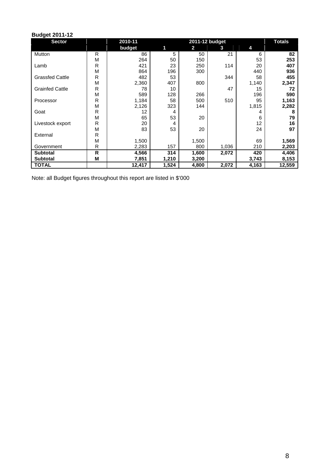| <b>Budget 2011-12</b>  |              |         |       |                |       |       |        |  |  |  |
|------------------------|--------------|---------|-------|----------------|-------|-------|--------|--|--|--|
| <b>Sector</b>          |              | 2010-11 |       | 2011-12 budget |       |       |        |  |  |  |
|                        |              | budget  | 1     | $\overline{2}$ | 3     | 4     |        |  |  |  |
| Mutton                 | R            | 86      | 5     | 50             | 21    | 6     | 82     |  |  |  |
|                        | M            | 264     | 50    | 150            |       | 53    | 253    |  |  |  |
| Lamb                   | R            | 421     | 23    | 250            | 114   | 20    | 407    |  |  |  |
|                        | M            | 864     | 196   | 300            |       | 440   | 936    |  |  |  |
| <b>Grassfed Cattle</b> | R            | 482     | 53    |                | 344   | 58    | 455    |  |  |  |
|                        | M            | 2,360   | 407   | 800            |       | 1,140 | 2,347  |  |  |  |
| <b>Grainfed Cattle</b> | R            | 78      | 10    |                | 47    | 15    | 72     |  |  |  |
|                        | M            | 589     | 128   | 266            |       | 196   | 590    |  |  |  |
| Processor              | R            | 1,184   | 58    | 500            | 510   | 95    | 1,163  |  |  |  |
|                        | M            | 2,126   | 323   | 144            |       | 1,815 | 2,282  |  |  |  |
| Goat                   | R            | 12      | 4     |                |       | 4     | 8      |  |  |  |
|                        | M            | 65      | 53    | 20             |       | 6     | 79     |  |  |  |
| Livestock export       | R            | 20      | 4     |                |       | 12    | 16     |  |  |  |
|                        | M            | 83      | 53    | 20             |       | 24    | 97     |  |  |  |
| External               | R            |         |       |                |       |       |        |  |  |  |
|                        | M            | 1,500   |       | 1,500          |       | 69    | 1,569  |  |  |  |
| Government             | R            | 2,283   | 157   | 800            | 1,036 | 210   | 2,203  |  |  |  |
| <b>Subtotal</b>        | $\mathsf{R}$ | 4,566   | 314   | 1,600          | 2,072 | 420   | 4,406  |  |  |  |
| <b>Subtotal</b>        | M            | 7,851   | 1,210 | 3,200          |       | 3,743 | 8,153  |  |  |  |
| <b>TOTAL</b>           |              | 12,417  | 1,524 | 4,800          | 2,072 | 4,163 | 12,559 |  |  |  |

Note: all Budget figures throughout this report are listed in \$'000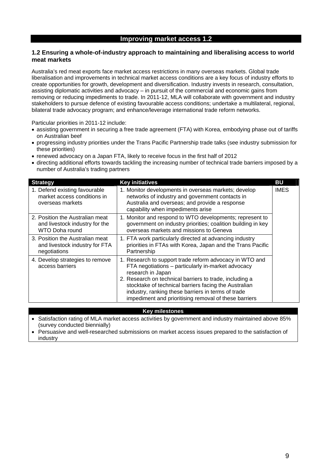# **1.2 Ensuring a whole-of-industry approach to maintaining and liberalising access to world meat markets**

Australia's red meat exports face market access restrictions in many overseas markets. Global trade liberalisation and improvements in technical market access conditions are a key focus of industry efforts to create opportunities for growth, development and diversification. Industry invests in research, consultation, assisting diplomatic activities and advocacy – in pursuit of the commercial and economic gains from removing or reducing impediments to trade. In 2011-12, MLA will collaborate with government and industry stakeholders to pursue defence of existing favourable access conditions; undertake a multilateral, regional, bilateral trade advocacy program; and enhance/leverage international trade reform networks.

Particular priorities in 2011-12 include:

- assisting government in securing a free trade agreement (FTA) with Korea, embodying phase out of tariffs on Australian beef
- progressing industry priorities under the Trans Pacific Partnership trade talks (see industry submission for these priorities)
- renewed advocacy on a Japan FTA, likely to receive focus in the first half of 2012
- directing additional efforts towards tackling the increasing number of technical trade barriers imposed by a number of Australia's trading partners

| <b>Strategy</b>                                                                     | <b>Key initiatives</b>                                                                                                                                                                                                                                                                                                                                                | <b>BU</b>   |
|-------------------------------------------------------------------------------------|-----------------------------------------------------------------------------------------------------------------------------------------------------------------------------------------------------------------------------------------------------------------------------------------------------------------------------------------------------------------------|-------------|
| 1. Defend existing favourable<br>market access conditions in<br>overseas markets    | 1. Monitor developments in overseas markets; develop<br>networks of industry and government contacts in<br>Australia and overseas; and provide a response<br>capability when impediments arise                                                                                                                                                                        | <b>IMES</b> |
| 2. Position the Australian meat<br>and livestock industry for the<br>WTO Doha round | 1. Monitor and respond to WTO developments; represent to<br>government on industry priorities; coalition building in key<br>overseas markets and missions to Geneva                                                                                                                                                                                                   |             |
| 3. Position the Australian meat<br>and livestock industry for FTA<br>negotiations   | 1. FTA work particularly directed at advancing industry<br>priorities in FTAs with Korea, Japan and the Trans Pacific<br>Partnership                                                                                                                                                                                                                                  |             |
| 4. Develop strategies to remove<br>access barriers                                  | 1. Research to support trade reform advocacy in WTO and<br>FTA negotiations - particularly in-market advocacy<br>research in Japan<br>2. Research on technical barriers to trade, including a<br>stocktake of technical barriers facing the Australian<br>industry, ranking these barriers in terms of trade<br>impediment and prioritising removal of these barriers |             |

#### **Key milestones**

- Satisfaction rating of MLA market access activities by government and industry maintained above 85% (survey conducted biennially)
- Persuasive and well-researched submissions on market access issues prepared to the satisfaction of industry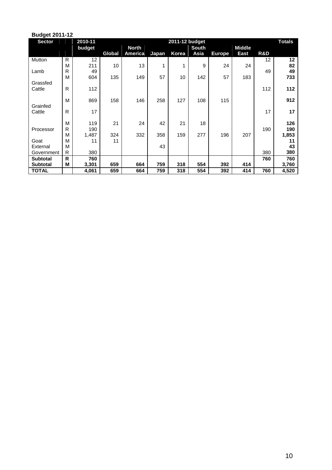| <b>Budget 2011-12</b> |        |            |               |                |       |                |              |               |               |     |               |
|-----------------------|--------|------------|---------------|----------------|-------|----------------|--------------|---------------|---------------|-----|---------------|
| <b>Sector</b>         |        | 2010-11    |               |                |       | 2011-12 budget |              |               |               |     | <b>Totals</b> |
|                       |        | budget     |               | <b>North</b>   |       |                | <b>South</b> |               | <b>Middle</b> |     |               |
|                       |        |            | <b>Global</b> | <b>America</b> | Japan | Korea          | Asia         | <b>Europe</b> | East          | R&D |               |
| Mutton                | R      | 12         |               |                |       |                |              |               |               | 12  | 12            |
|                       | M      | 211        | 10            | 13             | 1     | 1              | 9            | 24            | 24            |     | 82            |
| Lamb                  | R      | 49         |               |                |       |                |              |               |               | 49  | 49            |
|                       | M      | 604        | 135           | 149            | 57    | 10             | 142          | 57            | 183           |     | 733           |
| Grassfed              |        |            |               |                |       |                |              |               |               |     |               |
| Cattle                | R      | 112        |               |                |       |                |              |               |               | 112 | 112           |
|                       |        |            |               |                |       |                |              |               |               |     |               |
|                       | M      | 869        | 158           | 146            | 258   | 127            | 108          | 115           |               |     | 912           |
| Grainfed              |        |            |               |                |       |                |              |               |               |     |               |
| Cattle                | R      | 17         |               |                |       |                |              |               |               | 17  | 17            |
|                       |        |            | 21            |                |       |                |              |               |               |     | 126           |
|                       | M<br>R | 119<br>190 |               | 24             | 42    | 21             | 18           |               |               | 190 | 190           |
| Processor             | M      | 1,487      | 324           | 332            | 358   | 159            | 277          | 196           | 207           |     | 1,853         |
| Goat                  | M      | 11         | 11            |                |       |                |              |               |               |     | 11            |
| External              | M      |            |               |                | 43    |                |              |               |               |     | 43            |
| Government            | R      | 380        |               |                |       |                |              |               |               | 380 | 380           |
| <b>Subtotal</b>       | R      | 760        |               |                |       |                |              |               |               | 760 | 760           |
| <b>Subtotal</b>       | Μ      | 3,301      | 659           | 664            | 759   | 318            | 554          | 392           | 414           |     | 3,760         |
| <b>TOTAL</b>          |        | 4,061      | 659           | 664            | 759   | 318            | 554          | 392           | 414           | 760 | 4,520         |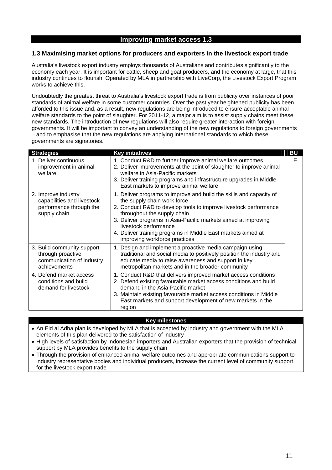# **Improving market access 1.3**

### **1.3 Maximising market options for producers and exporters in the livestock export trade**

Australia's livestock export industry employs thousands of Australians and contributes significantly to the economy each year. It is important for cattle, sheep and goat producers, and the economy at large, that this industry continues to flourish. Operated by MLA in partnership with LiveCorp, the Livestock Export Program works to achieve this.

Undoubtedly the greatest threat to Australia's livestock export trade is from publicity over instances of poor standards of animal welfare in some customer countries. Over the past year heightened publicity has been afforded to this issue and, as a result, new regulations are being introduced to ensure acceptable animal welfare standards to the point of slaughter. For 2011-12, a major aim is to assist supply chains meet these new standards. The introduction of new regulations will also require greater interaction with foreign governments. It will be important to convey an understanding of the new regulations to foreign governments – and to emphasise that the new regulations are applying international standards to which these governments are signatories.

| <b>Strategies</b>                                                                            | <b>Key initiatives</b>                                                                                                                                                                                                                                                                                                                                                                            | <b>BU</b> |
|----------------------------------------------------------------------------------------------|---------------------------------------------------------------------------------------------------------------------------------------------------------------------------------------------------------------------------------------------------------------------------------------------------------------------------------------------------------------------------------------------------|-----------|
| 1. Deliver continuous<br>improvement in animal<br>welfare                                    | 1. Conduct R&D to further improve animal welfare outcomes<br>2. Deliver improvements at the point of slaughter to improve animal<br>welfare in Asia-Pacific markets<br>3. Deliver training programs and infrastructure upgrades in Middle<br>East markets to improve animal welfare                                                                                                               | LE        |
| 2. Improve industry<br>capabilities and livestock<br>performance through the<br>supply chain | 1. Deliver programs to improve and build the skills and capacity of<br>the supply chain work force<br>2. Conduct R&D to develop tools to improve livestock performance<br>throughout the supply chain<br>3. Deliver programs in Asia-Pacific markets aimed at improving<br>livestock performance<br>4. Deliver training programs in Middle East markets aimed at<br>improving workforce practices |           |
| 3. Build community support<br>through proactive<br>communication of industry<br>achievements | 1. Design and implement a proactive media campaign using<br>traditional and social media to positively position the industry and<br>educate media to raise awareness and support in key<br>metropolitan markets and in the broader community                                                                                                                                                      |           |
| 4. Defend market access<br>conditions and build<br>demand for livestock                      | 1. Conduct R&D that delivers improved market access conditions<br>2. Defend existing favourable market access conditions and build<br>demand in the Asia-Pacific market<br>3. Maintain existing favourable market access conditions in Middle<br>East markets and support development of new markets in the<br>region                                                                             |           |

### **Key milestones**

• An Eid al Adha plan is developed by MLA that is accepted by industry and government with the MLA elements of this plan delivered to the satisfaction of industry

- High levels of satisfaction by Indonesian importers and Australian exporters that the provision of technical support by MLA provides benefits to the supply chain
- Through the provision of enhanced animal welfare outcomes and appropriate communications support to industry representative bodies and individual producers, increase the current level of community support for the livestock export trade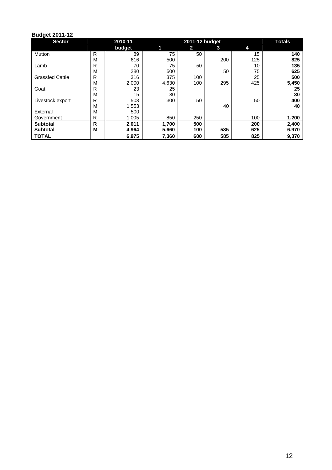| <b>Sector</b>          |   | 2010-11 |       | 2011-12 budget |     |     | <b>Totals</b> |
|------------------------|---|---------|-------|----------------|-----|-----|---------------|
|                        |   | budget  | 11    | $\mathbf{2}$   | 3   | 4   |               |
| Mutton                 | R | 89      | 75    | 50             |     | 15  | 140           |
|                        | М | 616     | 500   |                | 200 | 125 | 825           |
| Lamb                   | R | 70      | 75    | 50             |     | 10  | 135           |
|                        | M | 280     | 500   |                | 50  | 75  | 625           |
| <b>Grassfed Cattle</b> | R | 316     | 375   | 100            |     | 25  | 500           |
|                        | М | 2,000   | 4,630 | 100            | 295 | 425 | 5,450         |
| Goat                   | R | 23      | 25    |                |     |     | 25            |
|                        | М | 15      | 30    |                |     |     | 30            |
| Livestock export       | R | 508     | 300   | 50             |     | 50  | 400           |
|                        | M | 1,553   |       |                | 40  |     | 40            |
| External               | М | 500     |       |                |     |     |               |
| Government             | R | 1,005   | 850   | 250            |     | 100 | 1,200         |
| <b>Subtotal</b>        | R | 2,011   | 1,700 | 500            |     | 200 | 2,400         |
| <b>Subtotal</b>        | М | 4,964   | 5,660 | 100            | 585 | 625 | 6,970         |
| <b>TOTAL</b>           |   | 6,975   | 7,360 | 600            | 585 | 825 | 9,370         |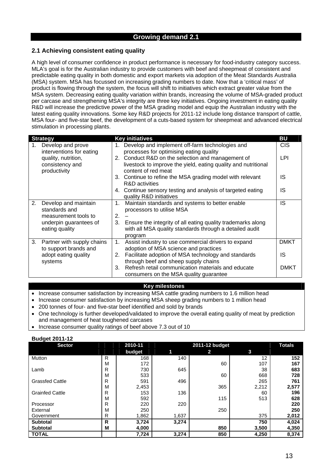# **2.1 Achieving consistent eating quality**

A high level of consumer confidence in product performance is necessary for food-industry category success. MLA's goal is for the Australian industry to provide customers with beef and sheepmeat of consistent and predictable eating quality in both domestic and export markets via adoption of the Meat Standards Australia (MSA) system. MSA has focussed on increasing grading numbers to date. Now that a 'critical mass' of product is flowing through the system, the focus will shift to initiatives which extract greater value from the MSA system. Decreasing eating quality variation within brands, increasing the volume of MSA-graded product per carcase and strengthening MSA's integrity are three key initiatives. Ongoing investment in eating quality R&D will increase the predictive power of the MSA grading model and equip the Australian industry with the latest eating quality innovations. Some key R&D projects for 2011-12 include long distance transport of cattle, MSA four- and five-star beef, the development of a cuts-based system for sheepmeat and advanced electrical stimulation in processing plants.

|    | <b>Strategy</b>                                        |    | <b>Key initiatives</b>                                                                                                                     | <b>BU</b>   |
|----|--------------------------------------------------------|----|--------------------------------------------------------------------------------------------------------------------------------------------|-------------|
| 1. | Develop and prove<br>interventions for eating          |    | 1. Develop and implement off-farm technologies and<br>processes for optimising eating quality                                              | <b>CIS</b>  |
|    | quality, nutrition,<br>consistency and<br>productivity |    | 2. Conduct R&D on the selection and management of<br>livestock to improve the yield, eating quality and nutritional<br>content of red meat | LPI         |
|    |                                                        |    | 3. Continue to refine the MSA grading model with relevant<br><b>R&amp;D</b> activities                                                     | IS          |
|    |                                                        |    | 4. Continue sensory testing and analysis of targeted eating<br>quality R&D initiatives                                                     | IS          |
| 2. | Develop and maintain<br>standards and                  | 1. | Maintain standards and systems to better enable<br>processors to utilise MSA                                                               | IS          |
|    | measurement tools to                                   | 2. |                                                                                                                                            |             |
|    | underpin guarantees of<br>eating quality               | 3. | Ensure the integrity of all eating quality trademarks along<br>with all MSA quality standards through a detailed audit<br>program          |             |
|    | 3. Partner with supply chains<br>to support brands and | 1. | Assist industry to use commercial drivers to expand<br>adoption of MSA science and practices                                               | <b>DMKT</b> |
|    | adopt eating quality<br>systems                        | 2. | Facilitate adoption of MSA technology and standards<br>through beef and sheep supply chains                                                | IS          |
|    |                                                        | 3. | Refresh retail communication materials and educate<br>consumers on the MSA quality guarantee                                               | <b>DMKT</b> |

#### **Key milestones**

• Increase consumer satisfaction by increasing MSA cattle grading numbers to 1.6 million head

- Increase consumer satisfaction by increasing MSA sheep grading numbers to 1 million head
- 200 tonnes of four- and five-star beef identified and sold by brands
- One technology is further developed/validated to improve the overall eating quality of meat by prediction and management of heat toughened carcases
- Increase consumer quality ratings of beef above 7.3 out of 10

| - ت<br><b>Sector</b>   |   | 2010-11 |       | 2011-12 budget |       | <b>Totals</b> |
|------------------------|---|---------|-------|----------------|-------|---------------|
|                        |   | budget  | 1     | 2              | 3     |               |
| Mutton                 | R | 168     | 140   |                | 12    | 152           |
|                        | M | 172     |       | 60             | 107   | 167           |
| Lamb                   | R | 730     | 645   |                | 38    | 683           |
|                        | M | 533     |       | 60             | 668   | 728           |
| <b>Grassfed Cattle</b> | R | 591     | 496   |                | 265   | 761           |
|                        | M | 2,453   |       | 365            | 2,212 | 2,577         |
| <b>Grainfed Cattle</b> | R | 153     | 136   |                | 60    | 196           |
|                        | M | 592     |       | 115            | 513   | 628           |
| Processor              | R | 220     | 220   |                |       | 220           |
| External               | M | 250     |       | 250            |       | 250           |
| Government             | R | 1,862   | 1,637 |                | 375   | 2,012         |
| <b>Subtotal</b>        | R | 3,724   | 3,274 |                | 750   | 4,024         |
| <b>Subtotal</b>        | M | 4,000   |       | 850            | 3,500 | 4,350         |
| <b>TOTAL</b>           |   | 7,724   | 3,274 | 850            | 4,250 | 8,374         |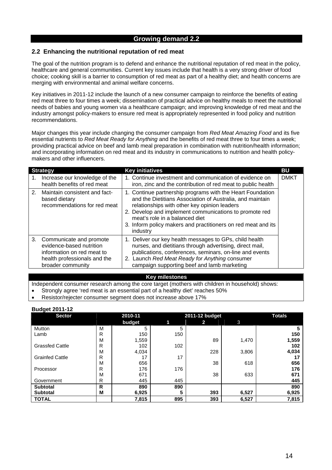## **2.2 Enhancing the nutritional reputation of red meat**

The goal of the nutrition program is to defend and enhance the nutritional reputation of red meat in the policy, healthcare and general communities. Current key issues include that health is a very strong driver of food choice; cooking skill is a barrier to consumption of red meat as part of a healthy diet; and health concerns are merging with environmental and animal welfare concerns.

Key initiatives in 2011-12 include the launch of a new consumer campaign to reinforce the benefits of eating red meat three to four times a week; dissemination of practical advice on healthy meals to meet the nutritional needs of babies and young women via a healthcare campaign; and improving knowledge of red meat and the industry amongst policy-makers to ensure red meat is appropriately represented in food policy and nutrition recommendations.

Major changes this year include changing the consumer campaign from *Red Meat Amazing Food* and its five essential nutrients to *Red Meat Ready for Anything* and the benefits of red meat three to four times a week; providing practical advice on beef and lamb meal preparation in combination with nutrition/health information; and incorporating information on red meat and its industry in communications to nutrition and health policymakers and other influencers.

|    | <b>Strategy</b>                                                                                                                           | <b>Key initiatives</b>                                                                                                                                                                                                                                                                                                                           |             |  |  |  |
|----|-------------------------------------------------------------------------------------------------------------------------------------------|--------------------------------------------------------------------------------------------------------------------------------------------------------------------------------------------------------------------------------------------------------------------------------------------------------------------------------------------------|-------------|--|--|--|
| 1. | Increase our knowledge of the<br>health benefits of red meat                                                                              | 1. Continue investment and communication of evidence on<br>iron, zinc and the contribution of red meat to public health                                                                                                                                                                                                                          | <b>DMKT</b> |  |  |  |
|    | 2. Maintain consistent and fact-<br>based dietary<br>recommendations for red meat                                                         | 1. Continue partnership programs with the Heart Foundation<br>and the Dietitians Association of Australia, and maintain<br>relationships with other key opinion leaders<br>2. Develop and implement communications to promote red<br>meat's role in a balanced diet<br>3. Inform policy makers and practitioners on red meat and its<br>industry |             |  |  |  |
|    | 3. Communicate and promote<br>evidence-based nutrition<br>information on red meat to<br>health professionals and the<br>broader community | 1. Deliver our key health messages to GPs, child health<br>nurses, and dietitians through advertising, direct mail,<br>publications, conferences, seminars, on-line and events<br>2. Launch Red Meat Ready for Anything consumer<br>campaign supporting beef and lamb marketing                                                                  |             |  |  |  |

#### **Key milestones**

Independent consumer research among the core target (mothers with children in household) shows:

- Strongly agree 'red meat is an essential part of a healthy diet' reaches 50%
- Resistor/rejecter consumer segment does not increase above 17%

| ັ<br><b>Sector</b>     |   | 2011-12 budget<br>2010-11 |     |     |       | <b>Totals</b> |
|------------------------|---|---------------------------|-----|-----|-------|---------------|
|                        |   | budget                    | 1   | 2   | 3     |               |
| Mutton                 | M | 5                         | 5   |     |       | b             |
| Lamb                   | R | 150                       | 150 |     |       | 150           |
|                        | M | 1,559                     |     | 89  | 1,470 | 1,559         |
| <b>Grassfed Cattle</b> | R | 102                       | 102 |     |       | 102           |
|                        | M | 4,034                     |     | 228 | 3,806 | 4,034         |
| <b>Grainfed Cattle</b> | R | 17                        | 17  |     |       |               |
|                        | M | 656                       |     | 38  | 618   | 656           |
| Processor              | R | 176                       | 176 |     |       | 176           |
|                        | M | 671                       |     | 38  | 633   | 671           |
| Government             | R | 445                       | 445 |     |       | 445           |
| <b>Subtotal</b>        | R | 890                       | 890 |     |       | 890           |
| <b>Subtotal</b>        | М | 6,925                     | 5   | 393 | 6,527 | 6,925         |
| <b>TOTAL</b>           |   | 7,815                     | 895 | 393 | 6,527 | 7,815         |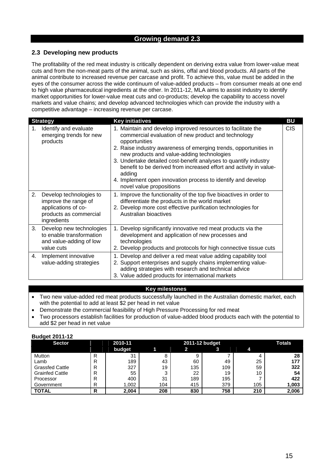# **2.3 Developing new products**

The profitability of the red meat industry is critically dependent on deriving extra value from lower-value meat cuts and from the non-meat parts of the animal, such as skins, offal and blood products. All parts of the animal contribute to increased revenue per carcase and profit. To achieve this, value must be added in the eyes of the consumer across the wide continuum of value-added products – from consumer meals at one end to high value pharmaceutical ingredients at the other. In 2011-12, MLA aims to assist industry to identify market opportunities for lower-value meat cuts and co-products; develop the capability to access novel markets and value chains; and develop advanced technologies which can provide the industry with a competitive advantage – increasing revenue per carcase.

|    | <b>Strategy</b>                                                                                                 | <b>Key initiatives</b>                                                                                                                                                                                                                                                                                                                                                                                                                                                                                 | <b>BU</b>  |
|----|-----------------------------------------------------------------------------------------------------------------|--------------------------------------------------------------------------------------------------------------------------------------------------------------------------------------------------------------------------------------------------------------------------------------------------------------------------------------------------------------------------------------------------------------------------------------------------------------------------------------------------------|------------|
| 1. | Identify and evaluate<br>emerging trends for new<br>products                                                    | 1. Maintain and develop improved resources to facilitate the<br>commercial evaluation of new product and technology<br>opportunities<br>2. Raise industry awareness of emerging trends, opportunities in<br>new products and value-adding technologies<br>3. Undertake detailed cost-benefit analyses to quantify industry<br>benefit to be derived from increased effort and activity in value-<br>adding<br>4. Implement open innovation process to identify and develop<br>novel value propositions | <b>CIS</b> |
| 2. | Develop technologies to<br>improve the range of<br>applications of co-<br>products as commercial<br>ingredients | 1. Improve the functionality of the top five bioactives in order to<br>differentiate the products in the world market<br>2. Develop more cost effective purification technologies for<br>Australian bioactives                                                                                                                                                                                                                                                                                         |            |
| 3. | Develop new technologies<br>to enable transformation<br>and value-adding of low<br>value cuts                   | 1. Develop significantly innovative red meat products via the<br>development and application of new processes and<br>technologies<br>2. Develop products and protocols for high connective tissue cuts                                                                                                                                                                                                                                                                                                 |            |
| 4. | Implement innovative<br>value-adding strategies                                                                 | 1. Develop and deliver a red meat value adding capability tool<br>2. Support enterprises and supply chains implementing value-<br>adding strategies with research and technical advice<br>3. Value added products for international markets                                                                                                                                                                                                                                                            |            |

# **Key milestones**

- Two new value-added red meat products successfully launched in the Australian domestic market, each with the potential to add at least \$2 per head in net value
- Demonstrate the commercial feasibility of High Pressure Processing for red meat
- Two processors establish facilities for production of value-added blood products each with the potential to add \$2 per head in net value

| <b>DUUYGL ZU LITTE</b> |               |         |     |               |     |     |       |
|------------------------|---------------|---------|-----|---------------|-----|-----|-------|
| <b>Sector</b>          |               | 2010-11 |     | <b>Totals</b> |     |     |       |
|                        |               | budget  |     |               | 3   |     |       |
| Mutton                 | R             | 31      | 8   | 9             |     |     | 28    |
| Lamb                   | R             | 189     | 43  | 60            | 49  | 25  | 177   |
| <b>Grassfed Cattle</b> | R             | 327     | 19  | 135           | 109 | 59  | 322   |
| <b>Grainfed Cattle</b> | R             | 55      | ົ   | 22            | 19  | 10  | 54    |
| Processor              | R             | 400     | 31  | 189           | 195 |     | 422   |
| Government             | R<br>$\Delta$ | 1,002   | 104 | 415           | 379 | 105 | 1,003 |
| <b>TOTAL</b>           | D<br>יי       | 2,004   | 208 | 830           | 758 | 210 | 2,006 |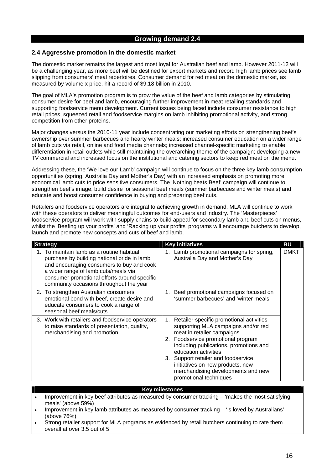### **2.4 Aggressive promotion in the domestic market**

The domestic market remains the largest and most loyal for Australian beef and lamb. However 2011-12 will be a challenging year, as more beef will be destined for export markets and record high lamb prices see lamb slipping from consumers' meal repertoires. Consumer demand for red meat on the domestic market, as measured by volume x price, hit a record of \$9.18 billion in 2010.

The goal of MLA's promotion program is to grow the value of the beef and lamb categories by stimulating consumer desire for beef and lamb, encouraging further improvement in meat retailing standards and supporting foodservice menu development. Current issues being faced include consumer resistance to high retail prices, squeezed retail and foodservice margins on lamb inhibiting promotional activity, and strong competition from other proteins.

Major changes versus the 2010-11 year include concentrating our marketing efforts on strengthening beef's ownership over summer barbecues and hearty winter meals; increased consumer education on a wider range of lamb cuts via retail, online and food media channels; increased channel-specific marketing to enable differentiation in retail outlets whie still maintaining the overarching theme of the campaign; developing a new TV commercial and increased focus on the institutional and catering sectors to keep red meat on the menu.

Addressing these, the 'We love our Lamb' campaign will continue to focus on the three key lamb consumption opportunities (spring, Australia Day and Mother's Day) with an increased emphasis on promoting more economical lamb cuts to price sensitive consumers. The 'Nothing beats Beef' campaign will continue to strengthen beef's image, build desire for seasonal beef meals (summer barbecues and winter meals) and educate and boost consumer confidence in buying and preparing beef cuts.

Retailers and foodservice operators are integral to achieving growth in demand. MLA will continue to work with these operators to deliver meaningful outcomes for end-users and industry. The 'Masterpieces' foodservice program will work with supply chains to build appeal for secondary lamb and beef cuts on menus, whilst the 'Beefing up your profits' and 'Racking up your profits' programs will encourage butchers to develop, launch and promote new concepts and cuts of beef and lamb.

| <b>Strategy</b>                                                                                                                                                                                                                                                       | <b>Key initiatives</b>                                                                                                                                                                                                                                                                                                                                              | BU   |
|-----------------------------------------------------------------------------------------------------------------------------------------------------------------------------------------------------------------------------------------------------------------------|---------------------------------------------------------------------------------------------------------------------------------------------------------------------------------------------------------------------------------------------------------------------------------------------------------------------------------------------------------------------|------|
| To maintain lamb as a routine habitual<br>purchase by building national pride in lamb<br>and encouraging consumers to buy and cook<br>a wider range of lamb cuts/meals via<br>consumer promotional efforts around specific<br>community occasions throughout the year | 1. Lamb promotional campaigns for spring,<br>Australia Day and Mother's Day                                                                                                                                                                                                                                                                                         | DMKT |
| 2. To strengthen Australian consumers'<br>emotional bond with beef, create desire and<br>educate consumers to cook a range of<br>seasonal beef meals/cuts                                                                                                             | Beef promotional campaigns focused on<br>1.<br>'summer barbecues' and 'winter meals'                                                                                                                                                                                                                                                                                |      |
| 3. Work with retailers and foodservice operators<br>to raise standards of presentation, quality,<br>merchandising and promotion                                                                                                                                       | 1. Retailer-specific promotional activities<br>supporting MLA campaigns and/or red<br>meat in retailer campaigns<br>2. Foodservice promotional program<br>including publications, promotions and<br>education activities<br>3. Support retailer and foodservice<br>initiatives on new products, new<br>merchandising developments and new<br>promotional techniques |      |

#### **Key milestones**

- Improvement in key beef attributes as measured by consumer tracking 'makes the most satisfying meals' (above 59%)
- Improvement in key lamb attributes as measured by consumer tracking 'is loved by Australians' (above 76%)
- Strong retailer support for MLA programs as evidenced by retail butchers continuing to rate them overall at over 3.5 out of 5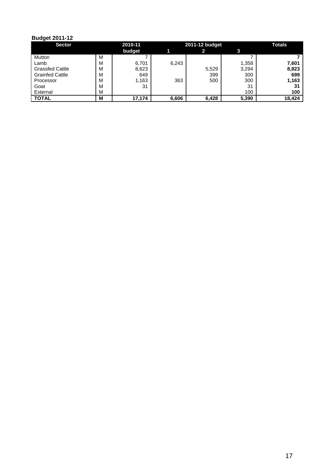| <b>Sector</b>          |   | 2010-11 |       | 2011-12 budget | Totals |        |
|------------------------|---|---------|-------|----------------|--------|--------|
|                        |   | budget  |       | 2              |        |        |
| Mutton                 | M |         |       |                |        |        |
| Lamb                   | м | 6.701   | 6,243 |                | 1,358  | 7,601  |
| <b>Grassfed Cattle</b> | M | 8,623   |       | 5,529          | 3,294  | 8,823  |
| <b>Grainfed Cattle</b> | М | 649     |       | 399            | 300    | 699    |
| Processor              | м | 1,163   | 363   | 500            | 300    | 1,163  |
| Goat                   | м | 31      |       |                | 31     | -31    |
| External               | M |         |       |                | 100    | 100    |
| <b>TOTAL</b>           | м | 17,174  | 6,606 | 6,428          | 5,390  | 18,424 |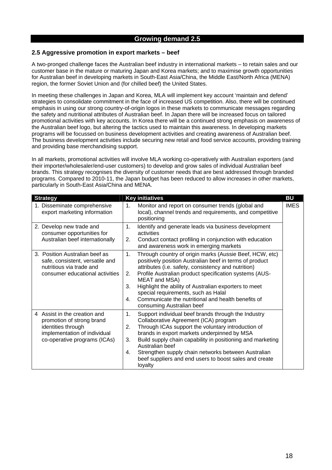### **2.5 Aggressive promotion in export markets – beef**

A two-pronged challenge faces the Australian beef industry in international markets – to retain sales and our customer base in the mature or maturing Japan and Korea markets; and to maximise growth opportunities for Australian beef in developing markets in South-East Asia/China, the Middle East/North Africa (MENA) region, the former Soviet Union and (for chilled beef) the United States.

In meeting these challenges in Japan and Korea, MLA will implement key account 'maintain and defend' strategies to consolidate commitment in the face of increased US competition. Also, there will be continued emphasis in using our strong country-of-origin logos in these markets to communicate messages regarding the safety and nutritional attributes of Australian beef. In Japan there will be increased focus on tailored promotional activities with key accounts. In Korea there will be a continued strong emphasis on awareness of the Australian beef logo, but altering the tactics used to maintain this awareness. In developing markets programs will be focussed on business development activities and creating awareness of Australian beef. The business development activities include securing new retail and food service accounts, providing training and providing base merchandising support.

In all markets, promotional activities will involve MLA working co-operatively with Australian exporters (and their importer/wholesaler/end-user customers) to develop and grow sales of individual Australian beef brands. This strategy recognises the diversity of customer needs that are best addressed through branded programs. Compared to 2010-11, the Japan budget has been reduced to allow increases in other markets, particularly in South-East Asia/China and MENA.

| <b>Strategy</b>                                                                                                                                 | <b>Key initiatives</b>                                                                                                                                                                                                                                                                                                                                                                                                                                                      | <b>BU</b>   |
|-------------------------------------------------------------------------------------------------------------------------------------------------|-----------------------------------------------------------------------------------------------------------------------------------------------------------------------------------------------------------------------------------------------------------------------------------------------------------------------------------------------------------------------------------------------------------------------------------------------------------------------------|-------------|
| 1. Disseminate comprehensive<br>export marketing information                                                                                    | Monitor and report on consumer trends (global and<br>1.<br>local), channel trends and requirements, and competitive<br>positioning                                                                                                                                                                                                                                                                                                                                          | <b>IMES</b> |
| 2. Develop new trade and<br>consumer opportunities for<br>Australian beef internationally                                                       | Identify and generate leads via business development<br>1.<br>activities<br>Conduct contact profiling in conjunction with education<br>2.<br>and awareness work in emerging markets                                                                                                                                                                                                                                                                                         |             |
| 3. Position Australian beef as<br>safe, consistent, versatile and<br>nutritious via trade and<br>consumer educational activities                | Through country of origin marks (Aussie Beef, HCW, etc)<br>1.<br>positively position Australian beef in terms of product<br>attributes (i.e. safety, consistency and nutrition)<br>Profile Australian product specification systems (AUS-<br>2.<br>MEAT and MSA)<br>3.<br>Highlight the ability of Australian exporters to meet<br>special requirements, such as Halal<br>Communicate the nutritional and health benefits of<br>$\mathbf{4}$ .<br>consuming Australian beef |             |
| 4 Assist in the creation and<br>promotion of strong brand<br>identities through<br>implementation of individual<br>co-operative programs (ICAs) | 1.<br>Support individual beef brands through the Industry<br>Collaborative Agreement (ICA) program<br>Through ICAs support the voluntary introduction of<br>2.<br>brands in export markets underpinned by MSA<br>Build supply chain capability in positioning and marketing<br>3.<br>Australian beef<br>Strengthen supply chain networks between Australian<br>4.<br>beef suppliers and end users to boost sales and create<br>loyalty                                      |             |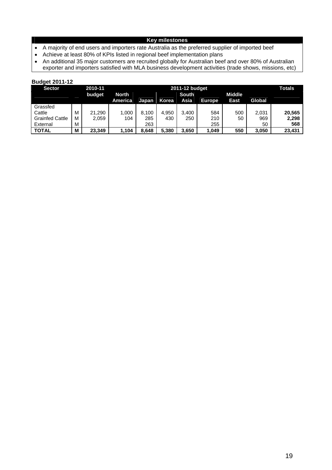# **Key milestones**

- A majority of end users and importers rate Australia as the preferred supplier of imported beef<br>• Achieve at least 80% of KPIs listed in regional beef implementation plans
- Achieve at least 80% of KPIs listed in regional beef implementation plans
- An additional 35 major customers are recruited globally for Australian beef and over 80% of Australian exporter and importers satisfied with MLA business development activities (trade shows, missions, etc)

| <b>Sector</b>          |   | 2010-11 | 2011-12 budget |       |              |              |               |               |        | <b>Totals</b> |
|------------------------|---|---------|----------------|-------|--------------|--------------|---------------|---------------|--------|---------------|
|                        |   | budget  | <b>North</b>   |       |              | <b>South</b> |               | <b>Middle</b> |        |               |
|                        |   |         | America        | Japan | <b>Korea</b> | Asia         | <b>Europe</b> | East          | Global |               |
| Grassfed               |   |         |                |       |              |              |               |               |        |               |
| Cattle                 | М | 21,290  | 1,000          | 8,100 | 4.950        | 3.400        | 584           | 500           | 2,031  | 20.565        |
| <b>Grainfed Cattle</b> | M | 2,059   | 104            | 285   | 430          | 250          | 210           | 50            | 969    | 2,298         |
| External               | М |         |                | 263   |              |              | 255           |               | 50     | 568           |
| <b>TOTAL</b>           | M | 23.349  | 1,104          | 8.648 | 5.380        | 3,650        | 1,049         | 550           | 3,050  | 23,431        |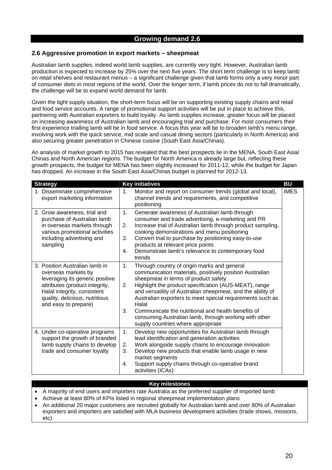### **2.6 Aggressive promotion in export markets – sheepmeat**

Australian lamb supplies, indeed world lamb supplies, are currently very tight. However, Australian lamb production is expected to increase by 25% over the next five years. The short term challenge is to keep lamb on retail shelves and restaurant menus – a significant challenge given that lamb forms only a very minor part of consumer diets in most regions of the world. Over the longer term, if lamb prices do not to fall dramatically, the challenge will be to expand world demand for lamb.

Given the tight supply situation, the short-term focus will be on supporting existing supply chains and retail and food service accounts. A range of promotional support activities will be put in place to achieve this, partnering with Australian exporters to build loyalty. As lamb supplies increase, greater focus will be placed on increasing awareness of Australian lamb and encouraging trial and purchase. For most consumers their first experience trialling lamb will be in food service. A focus this year will be to broaden lamb's menu range, involving work with the quick service, mid scale and casual dining sectors (particularly in North America) and also securing greater penetration in Chinese cuisine (South East Asia/Chinas).

An analysis of market growth to 2015 has revealed that the best prospects lie in the MENA, South East Asia/ Chinas and North American regions. The budget for North America is already large but, reflecting these growth prospects, the budget for MENA has been slightly increased for 2011-12, while the budget for Japan has dropped. An increase in the South East Asia/Chinas budget is planned for 2012-13.

| <b>Strategy</b>                                                                                                                                                                                                     | <b>Key initiatives</b>                                                                                                                                                                                                                                                                                                                                                                                                                                                                                              | <b>BU</b>   |
|---------------------------------------------------------------------------------------------------------------------------------------------------------------------------------------------------------------------|---------------------------------------------------------------------------------------------------------------------------------------------------------------------------------------------------------------------------------------------------------------------------------------------------------------------------------------------------------------------------------------------------------------------------------------------------------------------------------------------------------------------|-------------|
| 1. Disseminate comprehensive<br>export marketing information                                                                                                                                                        | Monitor and report on consumer trends (global and local),<br>1.<br>channel trends and requirements, and competitive<br>positioning                                                                                                                                                                                                                                                                                                                                                                                  | <b>IMES</b> |
| 2. Grow awareness, trial and<br>purchase of Australian lamb<br>in overseas markets through<br>various promotional activities<br>including advertising and<br>sampling                                               | 1.<br>Generate awareness of Australian lamb through<br>consumer and trade advertising, e-marketing and PR<br>Increase trial of Australian lamb through product sampling,<br>2.<br>cooking demonstrations and menu positioning<br>Convert trial to purchase by positioning easy-to-use<br>3.<br>products at relevant price points<br>Demonstrate lamb's relevance to contemporary food<br>4.<br>trends                                                                                                               |             |
| 3. Position Australian lamb in<br>overseas markets by<br>leveraging its generic positive<br>attributes (product integrity,<br>Halal integrity, consistent<br>quality, delicious, nutritious<br>and easy to prepare) | 1.<br>Through country of origin marks and general<br>communication materials, positively position Australian<br>sheepmeat in terms of product safety<br>Highlight the product specification (AUS-MEAT), range<br>2.<br>and versatility of Australian sheepmeat, and the ability of<br>Australian exporters to meet special requirements such as<br>Halal<br>3.<br>Communicate the nutritional and health benefits of<br>consuming Australian lamb, through working with other<br>supply countries where appropriate |             |
| 4. Under co-operative programs<br>support the growth of branded<br>lamb supply chains to develop<br>trade and consumer loyalty                                                                                      | 1.<br>Develop new opportunities for Australian lamb through<br>lead identification and generation activities<br>Work alongside supply chains to encourage innovation<br>2.<br>Develop new products that enable lamb usage in new<br>3.<br>market segments<br>Support supply chains through co-operative brand<br>4.<br>activities (ICAs)                                                                                                                                                                            |             |

#### **Key milestones**

- A majority of end users and importers rate Australia as the preferred supplier of imported lamb
- Achieve at least 80% of KPIs listed in regional sheepmeat implementation plans
- An additional 20 major customers are recruited globally for Australian lamb and over 80% of Australian exporters and importers are satisfied with MLA business development activities (trade shows, missions, etc)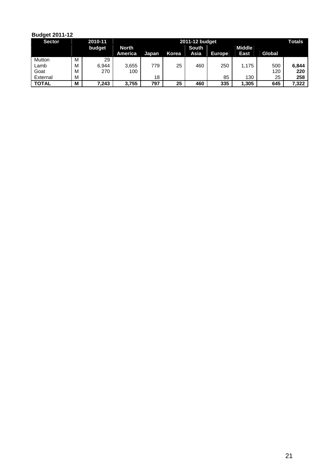| ---           |   |         |                |                |       |              |               |               |        |       |
|---------------|---|---------|----------------|----------------|-------|--------------|---------------|---------------|--------|-------|
| <b>Sector</b> |   | 2010-11 |                | 2011-12 budget |       |              |               |               |        |       |
|               |   | budget  | North          |                |       | <b>South</b> |               | <b>Middle</b> |        |       |
|               |   |         | <b>America</b> | Japan          | Korea | Asia         | <b>Europe</b> | East          | Global |       |
| Mutton        | M | 29      |                |                |       |              |               |               |        |       |
| Lamb          | M | 6.944   | 3,655          | 779            | 25    | 460          | 250           | 1.175         | 500    | 6.844 |
| Goat          | M | 270     | 100            |                |       |              |               |               | 120    | 220   |
| External      | M |         |                | 18             |       |              | 85            | 130           | 25     | 258   |
| <b>TOTAL</b>  | M | 7,243   | 3.755          | 797            | 25    | 460          | 335           | 1.305         | 645    | 7.322 |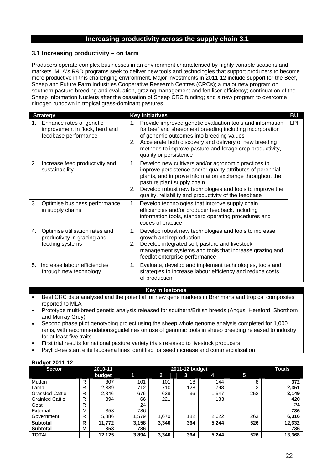### **3.1 Increasing productivity – on farm**

Producers operate complex businesses in an environment characterised by highly variable seasons and markets. MLA's R&D programs seek to deliver new tools and technologies that support producers to become more productive in this challenging environment. Major investments in 2011-12 include support for the Beef, Sheep and Future Farm Industries Cooperative Research Centres (CRCs); a major new program on southern pasture breeding and evaluation, grazing management and fertiliser efficiency; continuation of the Sheep Information Nucleus after the cessation of Sheep CRC funding; and a new program to overcome nitrogen rundown in tropical grass-dominant pastures.

| <b>Strategy</b> |                                                                                    |          | <b>Key initiatives</b><br><b>BU</b>                                                                                                                                                                                                                                                                                             |            |  |  |  |
|-----------------|------------------------------------------------------------------------------------|----------|---------------------------------------------------------------------------------------------------------------------------------------------------------------------------------------------------------------------------------------------------------------------------------------------------------------------------------|------------|--|--|--|
| 1.              | Enhance rates of genetic<br>improvement in flock, herd and<br>feedbase performance | 1.<br>2. | Provide improved genetic evaluation tools and information<br>for beef and sheepmeat breeding including incorporation<br>of genomic outcomes into breeding values<br>Accelerate both discovery and delivery of new breeding<br>methods to improve pasture and forage crop productivity,<br>quality or persistence                | <b>LPI</b> |  |  |  |
| 2.              | Increase feed productivity and<br>sustainability                                   | 1.<br>2. | Develop new cultivars and/or agronomic practices to<br>improve persistence and/or quality attributes of perennial<br>plants, and improve information exchange throughout the<br>pasture plant supply chain<br>Develop robust new technologies and tools to improve the<br>quality, reliability and productivity of the feedbase |            |  |  |  |
| 3.              | Optimise business performance<br>in supply chains                                  | 1.       | Develop technologies that improve supply chain<br>efficiencies and/or producer feedback, including<br>information tools, standard operating procedures and<br>codes of practice                                                                                                                                                 |            |  |  |  |
| 4.              | Optimise utilisation rates and<br>productivity in grazing and<br>feeding systems   | 1.<br>2. | Develop robust new technologies and tools to increase<br>growth and reproduction<br>Develop integrated soil, pasture and livestock<br>management systems and tools that increase grazing and<br>feedlot enterprise performance                                                                                                  |            |  |  |  |
| 5.              | Increase labour efficiencies<br>through new technology                             | 1.       | Evaluate, develop and implement technologies, tools and<br>strategies to increase labour efficiency and reduce costs<br>of production                                                                                                                                                                                           |            |  |  |  |

#### **Key milestones**

- Beef CRC data analysed and the potential for new gene markers in Brahmans and tropical composites reported to MLA
- Prototype multi-breed genetic analysis released for southern/British breeds (Angus, Hereford, Shorthorn and Murray Grey)
- Second phase pilot genotyping project using the sheep whole genome analysis completed for 1,000 rams, with recommendations/guidelines on use of genomic tools in sheep breeding released to industry for at least five traits
- First trial results for national pasture variety trials released to livestock producers
- Psyllid-resistant elite leucaena lines identified for seed increase and commercialisation

| <b>Budget 2011-12</b> |  |
|-----------------------|--|
|                       |  |

| <b>Sector</b>          |   | 2010-11 |       |       | 2011-12 budget |       |     | <b>Totals</b> |
|------------------------|---|---------|-------|-------|----------------|-------|-----|---------------|
|                        |   | budget  |       | 2     | 3              | 4     | 5   |               |
| Mutton                 | R | 307     | 101   | 101   | 18             | 144   | 8   | 372           |
| Lamb                   | R | 2,339   | 712   | 710   | 128            | 798   | 3   | 2,351         |
| <b>Grassfed Cattle</b> | R | 2,846   | 676   | 638   | 36             | 1,547 | 252 | 3,149         |
| <b>Grainfed Cattle</b> | R | 394     | 66    | 221   |                | 133   |     | 420           |
| Goat                   | R |         | 24    |       |                |       |     | 24            |
| External               | М | 353     | 736   |       |                |       |     | 736           |
| Government             | R | 5,886   | 1,579 | 1,670 | 182            | 2,622 | 263 | 6,316         |
| <b>Subtotal</b>        | R | 11.772  | 3,158 | 3,340 | 364            | 5,244 | 526 | 12,632        |
| <b>Subtotal</b>        | M | 353     | 736   |       |                |       |     | 736           |
| <b>TOTAL</b>           |   | 12.125  | 3,894 | 3.340 | 364            | 5,244 | 526 | 13,368        |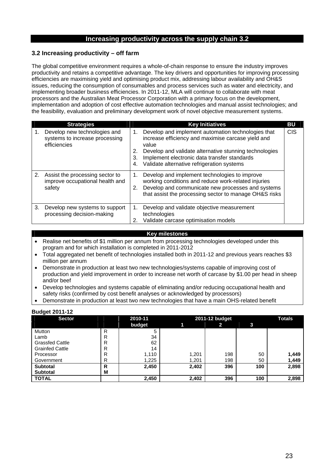## **3.2 Increasing productivity – off farm**

The global competitive environment requires a whole-of-chain response to ensure the industry improves productivity and retains a competitive advantage. The key drivers and opportunities for improving processing efficiencies are maximising yield and optimising product mix, addressing labour availability and OH&S issues, reducing the consumption of consumables and process services such as water and electricity, and implementing broader business efficiencies. In 2011-12, MLA will continue to collaborate with meat processors and the Australian Meat Processor Corporation with a primary focus on the development, implementation and adoption of cost effective automation technologies and manual assist technologies; and the feasibility, evaluation and preliminary development work of novel objective measurement systems.

|    | <b>Strategies</b>                                                              |                      | <b>Key Initiatives</b>                                                                                                                                                                                                                                                    | BU         |
|----|--------------------------------------------------------------------------------|----------------------|---------------------------------------------------------------------------------------------------------------------------------------------------------------------------------------------------------------------------------------------------------------------------|------------|
| 1. | Develop new technologies and<br>systems to increase processing<br>efficiencies | 1.<br>2.<br>3.<br>4. | Develop and implement automation technologies that<br>increase efficiency and maximise carcase yield and<br>value<br>Develop and validate alternative stunning technologies<br>Implement electronic data transfer standards<br>Validate alternative refrigeration systems | <b>CIS</b> |
| 2. | Assist the processing sector to<br>improve occupational health and<br>safety   |                      | Develop and implement technologies to improve<br>working conditions and reduce work-related injuries<br>Develop and communicate new processes and systems<br>that assist the processing sector to manage OH&S risks                                                       |            |
| 3. | Develop new systems to support<br>processing decision-making                   | 1.<br>2.             | Develop and validate objective measurement<br>technologies<br>Validate carcase optimisation models                                                                                                                                                                        |            |

#### **Key milestones**

- Realise net benefits of \$1 million per annum from processing technologies developed under this program and for which installation is completed in 2011-2012
- Total aggregated net benefit of technologies installed both in 2011-12 and previous years reaches \$3 million per annum
- Demonstrate in production at least two new technologies/systems capable of improving cost of production and yield improvement in order to increase net worth of carcase by \$1.00 per head in sheep and/or beef
- Develop technologies and systems capable of eliminating and/or reducing occupational health and safety risks (confirmed by cost benefit analyses or acknowledged by processors)
- Demonstrate in production at least two new technologies that have a main OHS-related benefit

| ---------------        |   |         |       |                |     |       |  |
|------------------------|---|---------|-------|----------------|-----|-------|--|
| <b>Sector</b>          |   | 2010-11 |       | 2011-12 budget |     |       |  |
|                        |   | budget  |       | 2              | 3   |       |  |
| Mutton                 | R | 5       |       |                |     |       |  |
| Lamb                   | R | 34      |       |                |     |       |  |
| <b>Grassfed Cattle</b> | R | 62      |       |                |     |       |  |
| <b>Grainfed Cattle</b> | R | 14      |       |                |     |       |  |
| Processor              | R | 1,110   | 1,201 | 198            | 50  | 1,449 |  |
| Government             | R | 1,225   | 1,201 | 198            | 50  | 1,449 |  |
| <b>Subtotal</b>        | R | 2,450   | 2,402 | 396            | 100 | 2,898 |  |
| <b>Subtotal</b>        | M |         |       |                |     |       |  |
| <b>TOTAL</b>           |   | 2,450   | 2,402 | 396            | 100 | 2,898 |  |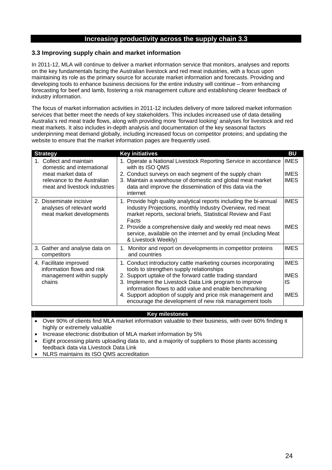### **3.3 Improving supply chain and market information**

In 2011-12, MLA will continue to deliver a market information service that monitors, analyses and reports on the key fundamentals facing the Australian livestock and red meat industries, with a focus upon maintaining its role as the primary source for accurate market information and forecasts. Providing and developing tools to enhance business decisions for the entire industry will continue – from enhancing forecasting for beef and lamb, fostering a risk management culture and establishing clearer feedback of industry information.

The focus of market information activities in 2011-12 includes delivery of more tailored market information services that better meet the needs of key stakeholders. This includes increased use of data detailing Australia's red meat trade flows, along with providing more 'forward looking' analyses for livestock and red meat markets. It also includes in-depth analysis and documentation of the key seasonal factors underpinning meat demand globally, including increased focus on competitor proteins; and updating the website to ensure that the market information pages are frequently used.

| <b>Strategy</b>                                                                                                                           | <b>Key initiatives</b>                                                                                                                                                                                                                                                                                                                                                                                               | BU                                              |
|-------------------------------------------------------------------------------------------------------------------------------------------|----------------------------------------------------------------------------------------------------------------------------------------------------------------------------------------------------------------------------------------------------------------------------------------------------------------------------------------------------------------------------------------------------------------------|-------------------------------------------------|
| Collect and maintain<br>domestic and international<br>meat market data of<br>relevance to the Australian<br>meat and livestock industries | 1. Operate a National Livestock Reporting Service in accordance<br>with its ISO QMS<br>2. Conduct surveys on each segment of the supply chain<br>3. Maintain a warehouse of domestic and global meat market<br>data and improve the dissemination of this data via the<br>internet                                                                                                                                   | <b>IMES</b><br><b>IMES</b><br><b>IMES</b>       |
| 2. Disseminate incisive<br>analyses of relevant world<br>meat market developments                                                         | 1. Provide high quality analytical reports including the bi-annual<br>Industry Projections, monthly Industry Overview, red meat<br>market reports, sectoral briefs, Statistical Review and Fast<br>Facts<br>2. Provide a comprehensive daily and weekly red meat news<br>service, available on the internet and by email (including Meat<br>& Livestock Weekly)                                                      | <b>IMES</b><br><b>IMES</b>                      |
| 3. Gather and analyse data on<br>competitors                                                                                              | 1. Monitor and report on developments in competitor proteins<br>and countries                                                                                                                                                                                                                                                                                                                                        | <b>IMES</b>                                     |
| 4. Facilitate improved<br>information flows and risk<br>management within supply<br>chains                                                | 1. Conduct introductory cattle marketing courses incorporating<br>tools to strengthen supply relationships<br>2. Support uptake of the forward cattle trading standard<br>3. Implement the Livestock Data Link program to improve<br>information flows to add value and enable benchmarking<br>4. Support adoption of supply and price risk management and<br>encourage the development of new risk management tools | <b>IMES</b><br><b>IMES</b><br>IS<br><b>IMES</b> |

#### **Key milestones**

- Over 90% of clients find MLA market information valuable to their business, with over 60% finding it highly or extremely valuable
- Increase electronic distribution of MLA market information by 5%
- Eight processing plants uploading data to, and a majority of suppliers to those plants accessing feedback data via Livestock Data Link
- NLRS maintains its ISO QMS accreditation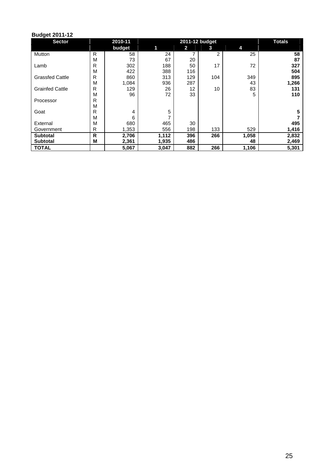| <b>Sector</b>          |   | 2010-11 |       | 2011-12 budget | <b>Totals</b>  |       |       |
|------------------------|---|---------|-------|----------------|----------------|-------|-------|
|                        |   | budget  | 1     | 2              | 3              | 4     |       |
| Mutton                 | R | 58      | 24    |                | $\overline{2}$ | 25    | 58    |
|                        | M | 73      | 67    | 20             |                |       | 87    |
| Lamb                   | R | 302     | 188   | 50             | 17             | 72    | 327   |
|                        | M | 422     | 388   | 116            |                |       | 504   |
| <b>Grassfed Cattle</b> | R | 860     | 313   | 129            | 104            | 349   | 895   |
|                        | M | 1,084   | 936   | 287            |                | 43    | 1,266 |
| <b>Grainfed Cattle</b> | R | 129     | 26    | 12             | 10             | 83    | 131   |
|                        | M | 96      | 72    | 33             |                | 5     | 110   |
| Processor              | R |         |       |                |                |       |       |
|                        | M |         |       |                |                |       |       |
| Goat                   | R | 4       | 5     |                |                |       | 5     |
|                        | M | 6       | 7     |                |                |       |       |
| External               | M | 680     | 465   | 30             |                |       | 495   |
| Government             | R | 1,353   | 556   | 198            | 133            | 529   | 1,416 |
| <b>Subtotal</b>        | R | 2,706   | 1,112 | 396            | 266            | 1,058 | 2,832 |
| <b>Subtotal</b>        | M | 2,361   | 1,935 | 486            |                | 48    | 2,469 |
| <b>TOTAL</b>           |   | 5,067   | 3,047 | 882            | 266            | 1,106 | 5,301 |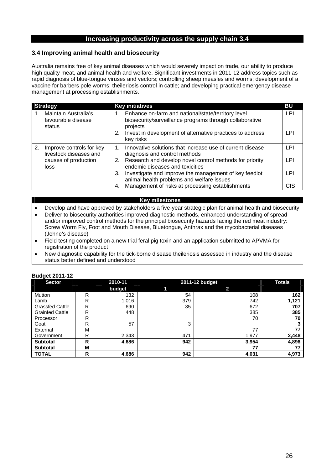## **3.4 Improving animal health and biosecurity**

Australia remains free of key animal diseases which would severely impact on trade, our ability to produce high quality meat, and animal health and welfare. Significant investments in 2011-12 address topics such as rapid diagnosis of blue-tongue viruses and vectors; controlling sheep measles and worms; development of a vaccine for barbers pole worms; theileriosis control in cattle; and developing practical emergency disease management at processing establishments.

| <b>Strategy</b>                                          | <b>Key initiatives</b>                                                                                                       | BU  |
|----------------------------------------------------------|------------------------------------------------------------------------------------------------------------------------------|-----|
| Maintain Australia's<br>favourable disease<br>status     | 1. Enhance on-farm and national/state/territory level<br>biosecurity/surveillance programs through collaborative<br>projects | LPI |
|                                                          | 2. Invest in development of alternative practices to address<br>key risks                                                    | LPI |
| Improve controls for key<br>2.<br>livestock diseases and | Innovative solutions that increase use of current disease<br>$1_{-}$<br>diagnosis and control methods                        | LPI |
| causes of production<br>loss                             | 2. Research and develop novel control methods for priority<br>endemic diseases and toxicities                                | LPI |
|                                                          | Investigate and improve the management of key feedlot<br>3.<br>animal health problems and welfare issues                     | LPI |
|                                                          | Management of risks at processing establishments<br>4.                                                                       | CIS |

#### **Key milestones**

- Develop and have approved by stakeholders a five-year strategic plan for animal health and biosecurity
- Deliver to biosecurity authorities improved diagnostic methods, enhanced understanding of spread and/or improved control methods for the principal biosecurity hazards facing the red meat industry: Screw Worm Fly, Foot and Mouth Disease, Bluetongue, Anthrax and the mycobacterial diseases (Johne's disease)
- Field testing completed on a new trial feral pig toxin and an application submitted to APVMA for registration of the product
- New diagnostic capability for the tick-borne disease theileriosis assessed in industry and the disease status better defined and understood

| -<br><b>Sector</b>     |   | 2010-11 |     | 2011-12 budget |       |  |  |
|------------------------|---|---------|-----|----------------|-------|--|--|
|                        |   | budget  |     | 2              |       |  |  |
| Mutton                 | R | 132     | 54  | 108            | 162   |  |  |
| Lamb                   | R | 1,016   | 379 | 742            | 1,121 |  |  |
| <b>Grassfed Cattle</b> | R | 690     | 35  | 672            | 707   |  |  |
| <b>Grainfed Cattle</b> | R | 448     |     | 385            | 385   |  |  |
| Processor              | R |         |     | 70             | 70    |  |  |
| Goat                   | R | 57      | 3   |                |       |  |  |
| External               | M |         |     | 77             |       |  |  |
| Government             | R | 2,343   | 471 | 1,977          | 2,448 |  |  |
| <b>Subtotal</b>        | R | 4,686   | 942 | 3,954          | 4,896 |  |  |
| <b>Subtotal</b>        | M |         |     | 77             |       |  |  |
| <b>TOTAL</b>           | R | 4,686   | 942 | 4,031          | 4,973 |  |  |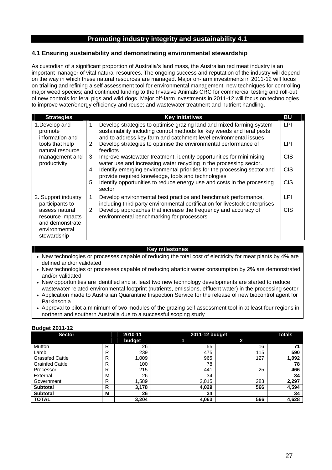# **4.1 Ensuring sustainability and demonstrating environmental stewardship**

As custodian of a significant proportion of Australia's land mass, the Australian red meat industry is an important manager of vital natural resources. The ongoing success and reputation of the industry will depend on the way in which these natural resources are managed. Major on-farm investments in 2011-12 will focus on trialling and refining a self assessment tool for environmental management; new techniques for controlling major weed species; and continued funding to the Invasive Animals CRC for commercial testing and roll-out of new controls for feral pigs and wild dogs. Major off-farm investments in 2011-12 will focus on technologies to improve water/energy efficiency and reuse; and wastewater treatment and nutrient handling.

| <b>Strategies</b>                                                                     | <b>Key initiatives</b>                                                                                                                                                                                                   | BU         |
|---------------------------------------------------------------------------------------|--------------------------------------------------------------------------------------------------------------------------------------------------------------------------------------------------------------------------|------------|
| 1. Develop and<br>promote<br>information and                                          | Develop strategies to optimise grazing land and mixed farming system<br>1.<br>sustainability including control methods for key weeds and feral pests<br>and to address key farm and catchment level environmental issues | <b>LPI</b> |
| tools that help<br>natural resource                                                   | Develop strategies to optimise the environmental performance of<br>2.<br>feedlots                                                                                                                                        | LPI        |
| management and<br>productivity                                                        | Improve wastewater treatment, identify opportunities for minimising<br>3.<br>water use and increasing water recycling in the processing sector.                                                                          | <b>CIS</b> |
|                                                                                       | Identify emerging environmental priorities for the processing sector and<br>4.<br>provide required knowledge, tools and technologies                                                                                     | <b>CIS</b> |
|                                                                                       | Identify opportunities to reduce energy use and costs in the processing<br>5.<br>sector                                                                                                                                  | <b>CIS</b> |
| 2. Support industry<br>participants to                                                | Develop environmental best practice and benchmark performance,<br>1.<br>including third party environmental certification for livestock enterprises                                                                      | LPI        |
| assess natural<br>resource impacts<br>and demonstrate<br>environmental<br>stewardship | Develop approaches that increase the frequency and accuracy of<br>2.<br>environmental benchmarking for processors                                                                                                        | <b>CIS</b> |

#### **Key milestones**

- New technologies or processes capable of reducing the total cost of electricity for meat plants by 4% are defined and/or validated
- New technologies or processes capable of reducing abattoir water consumption by 2% are demonstrated and/or validated
- New opportunities are identified and at least two new technology developments are started to reduce wastewater related environmental footprint (nutrients, emissions, effluent water) in the processing sector
- Application made to Australian Quarantine Inspection Service for the release of new biocontrol agent for Parkinsonia
- Approval to pilot a minimum of two modules of the grazing self assessment tool in at least four regions in northern and southern Australia due to a successful scoping study

| . .<br><b>Sector</b>   |   | 2010-11 |       | 2011-12 budget |       |  |
|------------------------|---|---------|-------|----------------|-------|--|
|                        |   | budget  |       | 2.             |       |  |
| Mutton                 | R | 26      | 55    | 16             | 71    |  |
| Lamb                   | R | 239     | 475   | 115            | 590   |  |
| <b>Grassfed Cattle</b> | R | 1,009   | 965   | 127            | 1,092 |  |
| <b>Grainfed Cattle</b> | R | 100     | 78    |                | 78    |  |
| Processor              | R | 215     | 441   | 25             | 466   |  |
| External               | М | 26      | 34    |                | 34    |  |
| Government             | R | 1,589   | 2,015 | 283            | 2,297 |  |
| <b>Subtotal</b>        | R | 3,178   | 4,029 | 566            | 4,594 |  |
| <b>Subtotal</b>        | М | 26      | 34    |                | 34    |  |
| <b>TOTAL</b>           |   | 3,204   | 4,063 | 566            | 4,628 |  |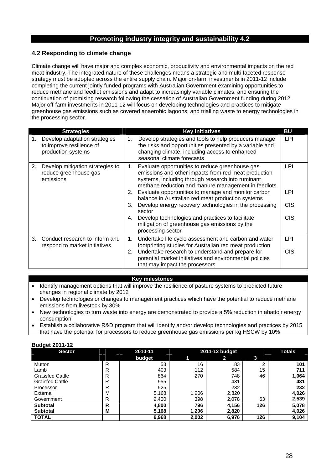# **4.2 Responding to climate change**

Climate change will have major and complex economic, productivity and environmental impacts on the red meat industry. The integrated nature of these challenges means a strategic and multi-faceted response strategy must be adopted across the entire supply chain. Major on-farm investments in 2011-12 include completing the current jointly funded programs with Australian Government examining opportunities to reduce methane and feedlot emissions and adapt to increasingly variable climates; and ensuring the continuation of promising research following the cessation of Australian Government funding during 2012. Major off-farm investments in 2011-12 will focus on developing technologies and practices to mitigate greenhouse gas emissions such as covered anaerobic lagoons; and trialling waste to energy technologies in the processing sector.

|    | <b>Strategies</b>                                                               | <b>Key initiatives</b>                                                                                                                                                                                                                                                                                                                                                                                                                                                                                                                             | BU                                     |
|----|---------------------------------------------------------------------------------|----------------------------------------------------------------------------------------------------------------------------------------------------------------------------------------------------------------------------------------------------------------------------------------------------------------------------------------------------------------------------------------------------------------------------------------------------------------------------------------------------------------------------------------------------|----------------------------------------|
| 1. | Develop adaptation strategies<br>to improve resilience of<br>production systems | Develop strategies and tools to help producers manage<br>1.<br>the risks and opportunities presented by a variable and<br>changing climate, including access to enhanced<br>seasonal climate forecasts                                                                                                                                                                                                                                                                                                                                             | LPI                                    |
| 2. | Develop mitigation strategies to<br>reduce greenhouse gas<br>emissions          | Evaluate opportunities to reduce greenhouse gas<br>1.<br>emissions and other impacts from red meat production<br>systems, including through research into ruminant<br>methane reduction and manure management in feedlots<br>2. Evaluate opportunities to manage and monitor carbon<br>balance in Australian red meat production systems<br>Develop energy recovery technologies in the processing<br>3.<br>sector<br>Develop technologies and practices to facilitate<br>4.<br>mitigation of greenhouse gas emissions by the<br>processing sector | LPI<br>LPI<br><b>CIS</b><br><b>CIS</b> |
| 3. | Conduct research to inform and<br>respond to market initiatives                 | Undertake life cycle assessment and carbon and water<br>1.<br>footprinting studies for Australian red meat production<br>Undertake research to understand and prepare for<br>2.<br>potential market initiatives and environmental policies<br>that may impact the processors                                                                                                                                                                                                                                                                       | LPI<br><b>CIS</b>                      |

#### **Key milestones**

- Identify management options that will improve the resilience of pasture systems to predicted future changes in regional climate by 2012
- Develop technologies or changes to management practices which have the potential to reduce methane emissions from livestock by 30%
- New technologies to turn waste into energy are demonstrated to provide a 5% reduction in abattoir energy consumption
- Establish a collaborative R&D program that will identify and/or develop technologies and practices by 2015 that have the potential for processors to reduce greenhouse gas emissions per kg HSCW by 10%

| Puuytt ZVII-IZ         |   |         |       |                |     |               |
|------------------------|---|---------|-------|----------------|-----|---------------|
| <b>Sector</b>          |   | 2010-11 |       | 2011-12 budget |     | <b>Totals</b> |
|                        |   | budget  | 1     | 2              | 3   |               |
| Mutton                 | R | 53      | 16    | 83             |     | 101           |
| Lamb                   | R | 403     | 112   | 584            | 15  | 711           |
| <b>Grassfed Cattle</b> | R | 864     | 270   | 748            | 46  | 1,064         |
| <b>Grainfed Cattle</b> | R | 555     |       | 431            |     | 431           |
| Processor              | R | 525     |       | 232            |     | 232           |
| External               | M | 5,168   | 1,206 | 2,820          |     | 4,026         |
| Government             | R | 2,400   | 398   | 2,078          | 63  | 2,539         |
| <b>Subtotal</b>        | R | 4,800   | 796   | 4,156          | 126 | 5,078         |
| <b>Subtotal</b>        | M | 5,168   | 1,206 | 2,820          |     | 4,026         |
| <b>TOTAL</b>           |   | 9,968   | 2,002 | 6,976          | 126 | 9,104         |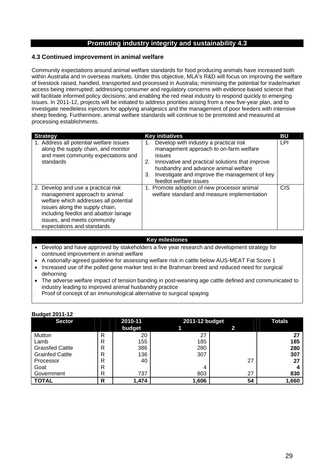## **4.3 Continued improvement in animal welfare**

Community expectations around animal welfare standards for food producing animals have increased both within Australia and in overseas markets. Under this objective, MLA's R&D will focus on improving the welfare of livestock raised, handled, transported and processed in Australia; minimising the potential for trade/market access being interrupted; addressing consumer and regulatory concerns with evidence based science that will facilitate informed policy decisions; and enabling the red meat industry to respond quickly to emerging issues. In 2011-12, projects will be initiated to address priorities arising from a new five-year plan, and to investigate needleless injectors for applying analgesics and the management of poor feeders with intensive sheep feeding. Furthermore, animal welfare standards will continue to be promoted and measured at processing establishments.

| <b>Strategy</b>                                                                                                                                                                                                                                        | <b>Key initiatives</b>                                                                                                                                                                                                                                                       | BU         |
|--------------------------------------------------------------------------------------------------------------------------------------------------------------------------------------------------------------------------------------------------------|------------------------------------------------------------------------------------------------------------------------------------------------------------------------------------------------------------------------------------------------------------------------------|------------|
| 1. Address all potential welfare issues<br>along the supply chain, and monitor<br>and meet community expectations and<br>standards                                                                                                                     | Develop with industry a practical risk<br>management approach to on-farm welfare<br>issues<br>Innovative and practical solutions that improve<br>2.<br>husbandry and advance animal welfare<br>Investigate and improve the management of key<br>3.<br>feedlot welfare issues | LPI        |
| 2. Develop and use a practical risk<br>management approach to animal<br>welfare which addresses all potential<br>issues along the supply chain,<br>including feedlot and abattoir lairage<br>issues, and meets community<br>expectations and standards | 1. Promote adoption of new processor animal<br>welfare standard and measure implementation                                                                                                                                                                                   | <b>CIS</b> |

#### **Key milestones**

- Develop and have approved by stakeholders a five year research and development strategy for continued improvement in animal welfare
- A nationally-agreed guideline for assessing welfare risk in cattle below AUS-MEAT Fat Score 1
- Increased use of the polled gene marker test in the Brahman breed and reduced need for surgical dehorning
- The adverse welfare impact of tension banding in post-weaning age cattle defined and communicated to industry leading to improved animal husbandry practice
- Proof of concept of an immunological alternative to surgical spaying

| <b>Sector</b>          | 2010-11 |        | 2011-12 budget | <b>Totals</b> |       |
|------------------------|---------|--------|----------------|---------------|-------|
|                        |         | budget |                |               |       |
| Mutton                 | R       | 20     | 27             |               | 27    |
| Lamb                   | R       | 155    | 185            |               | 185   |
| <b>Grassfed Cattle</b> | R       | 386    | 280            |               | 280   |
| <b>Grainfed Cattle</b> | R       | 136    | 307            |               | 307   |
| Processor              | R       | 40     |                | 27            | 27    |
| Goat                   | R       |        | 4              |               |       |
| Government             | R       | 737    | 803            | 27            | 830   |
| <b>TOTAL</b>           | R       | 1,474  | 1,606          | 54            | 1,660 |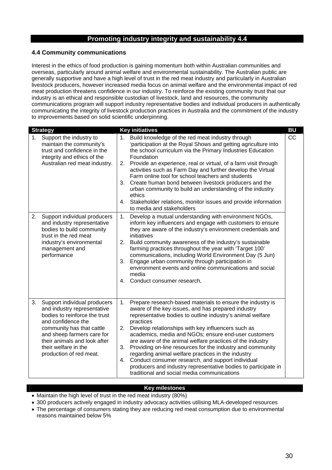# **4.4 Community communications**

Interest in the ethics of food production is gaining momentum both within Australian communities and overseas, particularly around animal welfare and environmental sustainability. The Australian public are generally supportive and have a high level of trust in the red meat industry and particularly in Australian livestock producers, however increased media focus on animal welfare and the environmental impact of red meat production threatens confidence in our industry. To reinforce the existing community trust that our industry is an ethical and responsible custodian of livestock, land and resources, the community communications program will support industry representative bodies and individual producers in authentically communicating the integrity of livestock production practices in Australia and the commitment of the industry to improvements based on solid scientific underpinning.

|    | <b>Strategy</b>                                                                                                                                                                                                                                                  |                      | <b>Key initiatives</b>                                                                                                                                                                                                                                                                                                                                                                                                                                                                                                                                                                                                                                           | <b>BU</b> |
|----|------------------------------------------------------------------------------------------------------------------------------------------------------------------------------------------------------------------------------------------------------------------|----------------------|------------------------------------------------------------------------------------------------------------------------------------------------------------------------------------------------------------------------------------------------------------------------------------------------------------------------------------------------------------------------------------------------------------------------------------------------------------------------------------------------------------------------------------------------------------------------------------------------------------------------------------------------------------------|-----------|
| 1. | Support the industry to<br>maintain the community's<br>trust and confidence in the<br>integrity and ethics of the<br>Australian red meat industry.                                                                                                               | 1.<br>3.<br>4.       | Build knowledge of the red meat industry through<br>'participation at the Royal Shows and getting agriculture into<br>the school curriculum via the Primary Industries Education<br>Foundation<br>2. Provide an experience, real or virtual, of a farm visit through<br>activities such as Farm Day and further develop the Virtual<br>Farm online tool for school teachers and students<br>Create human bond between livestock producers and the<br>urban community to build an understanding of the industry<br>ethics<br>Stakeholder relations, monitor issues and provide information<br>to media and stakeholders                                           | CC        |
| 2. | Support individual producers<br>and industry representative<br>bodies to build community<br>trust in the red meat<br>industry's environmental<br>management and<br>performance                                                                                   | 1.<br>2.<br>3.<br>4. | Develop a mutual understanding with environment NGOs,<br>inform key influencers and engage with customers to ensure<br>they are aware of the industry's environment credentials and<br>initiatives<br>Build community awareness of the industry's sustainable<br>farming practices throughout the year with 'Target 100'<br>communications, including World Environment Day (5 Jun)<br>Engage urban community through participation in<br>environment events and online communications and social<br>media<br>Conduct consumer research,                                                                                                                         |           |
| 3. | Support individual producers<br>and industry representative<br>bodies to reinforce the trust<br>and confidence the<br>community has that cattle<br>and sheep farmers care for<br>their animals and look after<br>their welfare in the<br>production of red meat. | 1.<br>2.<br>3.<br>4. | Prepare research-based materials to ensure the industry is<br>aware of the key issues, and has prepared industry<br>representative bodies to outline industry's animal welfare<br>practices<br>Develop relationships with key influencers such as<br>academics, media and NGOs; ensure end-user customers<br>are aware of the animal welfare practices of the industry<br>Providing on-line resources for the industry and community<br>regarding animal welfare practices in the industry<br>Conduct consumer research, and support individual<br>producers and industry representative bodies to participate in<br>traditional and social media communications |           |

# **Key milestones**

- Maintain the high level of trust in the red meat industry (80%)
- 300 producers actively engaged in industry advocacy activities utilising MLA-developed resources
- The percentage of consumers stating they are reducing red meat consumption due to environmental reasons maintained below 5%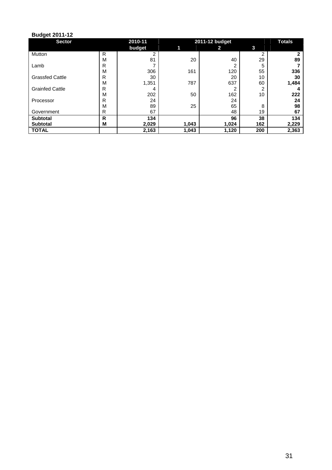| -<br><b>Sector</b>     |   | 2010-11 |       | 2011-12 budget        |                |       |  |
|------------------------|---|---------|-------|-----------------------|----------------|-------|--|
|                        |   | budget  |       | $\mathbf{2}^{\prime}$ | 3              |       |  |
| Mutton                 | R | 2       |       |                       | $\mathfrak{p}$ |       |  |
|                        | M | 81      | 20    | 40                    | 29             | 89    |  |
| Lamb                   | R | ⇁       |       | 2                     | 5              |       |  |
|                        | M | 306     | 161   | 120                   | 55             | 336   |  |
| <b>Grassfed Cattle</b> | R | 30      |       | 20                    | 10             | 30    |  |
|                        | M | 1,351   | 787   | 637                   | 60             | 1,484 |  |
| <b>Grainfed Cattle</b> | R | 4       |       | 2                     | ົ              |       |  |
|                        | M | 202     | 50    | 162                   | 10             | 222   |  |
| Processor              | R | 24      |       | 24                    |                | 24    |  |
|                        | M | 89      | 25    | 65                    | 8              | 98    |  |
| Government             | R | 67      |       | 48                    | 19             | 67    |  |
| <b>Subtotal</b>        | R | 134     |       | 96                    | 38             | 134   |  |
| <b>Subtotal</b>        | M | 2,029   | 1,043 | 1,024                 | 162            | 2,229 |  |
| <b>TOTAL</b>           |   | 2,163   | 1,043 | 1,120                 | 200            | 2,363 |  |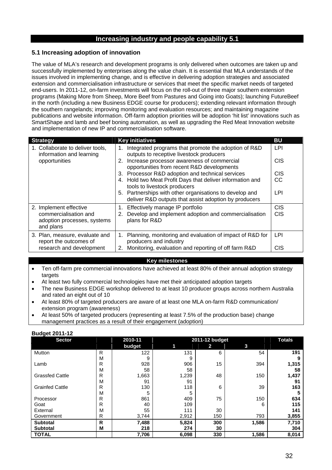# **5.1 Increasing adoption of innovation**

The value of MLA's research and development programs is only delivered when outcomes are taken up and successfully implemented by enterprises along the value chain. It is essential that MLA understands of the issues involved in implementing change, and is effective in delivering adoption strategies and associated extension and commercialisation infrastructure or services that meet the specific market needs of targeted end-users. In 2011-12, on-farm investments will focus on the roll-out of three major southern extension programs (Making More from Sheep, More Beef from Pastures and Going into Goats); launching FutureBeef in the north (including a new Business EDGE course for producers); extending relevant information through the southern rangelands; improving monitoring and evaluation resources; and maintaining magazine publications and website information. Off-farm adoption priorities will be adoption 'hit list' innovations such as SmartShape and lamb and beef boning automation, as well as upgrading the Red Meat Innovation website and implementation of new IP and commercialisation software.

| <b>Strategy</b>                                                   | <b>Key initiatives</b>                                                                                           | <b>BU</b>  |
|-------------------------------------------------------------------|------------------------------------------------------------------------------------------------------------------|------------|
| 1. Collaborate to deliver tools,<br>information and learning      | Integrated programs that promote the adoption of R&D<br>1.<br>outputs to receptive livestock producers           | LPI        |
| opportunities                                                     | Increase processor awareness of commercial<br>2.<br>opportunities from recent R&D developments                   | <b>CIS</b> |
|                                                                   | 3. Processor R&D adoption and technical services                                                                 | <b>CIS</b> |
|                                                                   | 4. Hold two Meat Profit Days that deliver information and<br>tools to livestock producers                        | <b>CC</b>  |
|                                                                   | 5. Partnerships with other organisations to develop and<br>deliver R&D outputs that assist adoption by producers | LPI        |
| 2. Implement effective                                            | Effectively manage IP portfolio<br>1.                                                                            | <b>CIS</b> |
| commercialisation and<br>adoption processes, systems<br>and plans | Develop and implement adoption and commercialisation<br>2.<br>plans for R&D                                      | <b>CIS</b> |
| 3. Plan, measure, evaluate and<br>report the outcomes of          | Planning, monitoring and evaluation of impact of R&D for<br>1.<br>producers and industry                         | LPI        |
| research and development                                          | Monitoring, evaluation and reporting of off farm R&D<br>2.                                                       | <b>CIS</b> |

# **Key milestones**

- Ten off-farm pre commercial innovations have achieved at least 80% of their annual adoption strategy targets
- At least two fully commercial technologies have met their anticipated adoption targets
- The new Business EDGE workshop delivered to at least 10 producer groups across northern Australia and rated an eight out of 10
- At least 80% of targeted producers are aware of at least one MLA on-farm R&D communication/ extension program (awareness)
- At least 50% of targeted producers (representing at least 7.5% of the production base) change management practices as a result of their engagement (adoption)

| - -- - - <u>- -</u> -<br><b>Sector</b> |   | 2010-11 |       | 2011-12 budget |       | <b>Totals</b> |
|----------------------------------------|---|---------|-------|----------------|-------|---------------|
|                                        |   | budget  | 11    | 2              | 3     |               |
| Mutton                                 | R | 122     | 131   | 6              | 54    | 191           |
|                                        | M | 9       | 9     |                |       | 9             |
| Lamb                                   | R | 928     | 906   | 15             | 394   | 1,315         |
|                                        | M | 58      | 58    |                |       | 58            |
| <b>Grassfed Cattle</b>                 | R | 1,663   | 1,239 | 48             | 150   | 1,437         |
|                                        | M | 91      | 91    |                |       | 91            |
| <b>Grainfed Cattle</b>                 | R | 130     | 118   | 6              | 39    | 163           |
|                                        | M | 5       | 5     |                |       | 5             |
| Processor                              | R | 861     | 409   | 75             | 150   | 634           |
| Goat                                   | R | 40      | 109   |                | 6     | 115           |
| External                               | M | 55      | 111   | 30             |       | 141           |
| Government                             | R | 3,744   | 2,912 | 150            | 793   | 3,855         |
| <b>Subtotal</b>                        | R | 7,488   | 5,824 | 300            | 1,586 | 7,710         |
| <b>Subtotal</b>                        | М | 218     | 274   | 30             |       | 304           |
| <b>TOTAL</b>                           |   | 7,706   | 6,098 | 330            | 1,586 | 8,014         |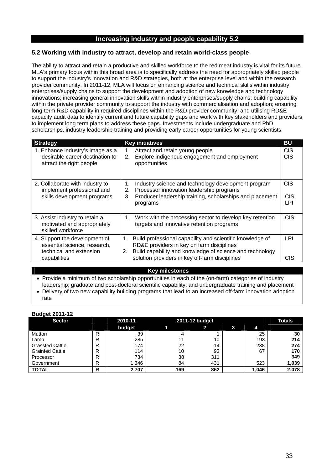# **5.2 Working with industry to attract, develop and retain world-class people**

The ability to attract and retain a productive and skilled workforce to the red meat industry is vital for its future. MLA's primary focus within this broad area is to specifically address the need for appropriately skilled people to support the industry's innovation and R&D strategies, both at the enterprise level and within the research provider community. In 2011-12, MLA will focus on enhancing science and technical skills within industry enterprises/supply chains to support the development and adoption of new knowledge and technology innovations; increasing general innovation skills within industry enterprises/supply chains; building capability within the private provider community to support the industry with commercialisation and adoption; ensuring long-term R&D capability in required disciplines within the R&D provider community; and utilising RD&E capacity audit data to identify current and future capability gaps and work with key stakeholders and providers to implement long term plans to address these gaps. Investments include undergraduate and PhD scholarships, industry leadership training and providing early career opportunities for young scientists.

| <b>Strategy</b>                                                                                          | <b>Key initiatives</b>                                                                                                                                                                                                                      | <b>BU</b>                             |
|----------------------------------------------------------------------------------------------------------|---------------------------------------------------------------------------------------------------------------------------------------------------------------------------------------------------------------------------------------------|---------------------------------------|
| 1. Enhance industry's image as a<br>desirable career destination to<br>attract the right people          | Attract and retain young people<br>1.<br>Explore indigenous engagement and employment<br>2.<br>opportunities                                                                                                                                | <b>CIS</b><br>CIS                     |
| 2. Collaborate with industry to<br>implement professional and<br>skills development programs             | Industry science and technology development program<br>1.<br>Processor innovation leadership programs<br>2.<br>Producer leadership training, scholarships and placement<br>3.<br>programs                                                   | C <sub>I</sub> S<br><b>CIS</b><br>LPI |
| 3. Assist industry to retain a<br>motivated and appropriately<br>skilled workforce                       | Work with the processing sector to develop key retention<br>1.<br>targets and innovative retention programs                                                                                                                                 | <b>CIS</b>                            |
| 4. Support the development of<br>essential science, research,<br>technical and extension<br>capabilities | Build professional capability and scientific knowledge of<br>$\mathbf 1$ .<br>RD&E providers in key on farm disciplines<br>Build capability and knowledge of science and technology<br>2.<br>solution providers in key off-farm disciplines | LPI<br>CIS                            |

#### **Key milestones**

• Provide a minimum of two scholarship opportunities in each of the (on-farm) categories of industry leadership; graduate and post-doctoral scientific capability; and undergraduate training and placement

 Delivery of two new capability building programs that lead to an increased off-farm innovation adoption rate

| <b>Sector</b>          | 2010-11 |        | 2011-12 budget |              |   |       | <b>Totals</b> |
|------------------------|---------|--------|----------------|--------------|---|-------|---------------|
|                        |         | budget |                | $\mathbf{p}$ | 3 | 4     |               |
| Mutton                 | R       | 39     |                |              |   | 25    | 30            |
| Lamb                   | R       | 285    | 11             | 10           |   | 193   | 214           |
| <b>Grassfed Cattle</b> | R       | 174    | 22             | 14           |   | 238   | 274           |
| <b>Grainfed Cattle</b> | R       | 114    | 10             | 93           |   | 67    | 170           |
| Processor              | R       | 734    | 38             | 311          |   |       | 349           |
| Government             | R       | 1,346  | 84             | 431          |   | 523   | 1,039         |
| <b>TOTAL</b>           | R       | 2,707  | 169            | 862          |   | 1,046 | 2,078         |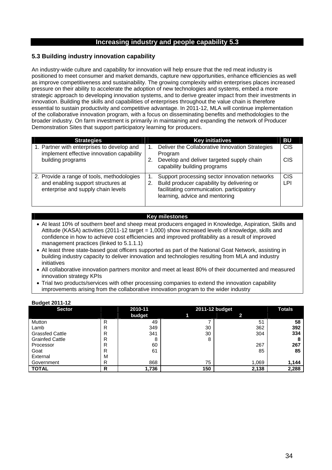# **5.3 Building industry innovation capability**

An industry-wide culture and capability for innovation will help ensure that the red meat industry is positioned to meet consumer and market demands, capture new opportunities, enhance efficiencies as well as improve competitiveness and sustainability. The growing complexity within enterprises places increased pressure on their ability to accelerate the adoption of new technologies and systems, embed a more strategic approach to developing innovation systems, and to derive greater impact from their investments in innovation. Building the skills and capabilities of enterprises throughout the value chain is therefore essential to sustain productivity and competitive advantage. In 2011-12, MLA will continue implementation of the collaborative innovation program, with a focus on disseminating benefits and methodologies to the broader industry. On farm investment is primarily in maintaining and expanding the network of Producer Demonstration Sites that support participatory learning for producers.

| <b>Strategies</b>                                                                                                      |    | <b>Key initiatives</b>                                                                                                                                                     | BU                       |
|------------------------------------------------------------------------------------------------------------------------|----|----------------------------------------------------------------------------------------------------------------------------------------------------------------------------|--------------------------|
| 1. Partner with enterprises to develop and<br>implement effective innovation capability<br>building programs           | 2. | Deliver the Collaborative Innovation Strategies<br>Program<br>Develop and deliver targeted supply chain<br>capability building programs                                    | <b>CIS</b><br><b>CIS</b> |
| 2. Provide a range of tools, methodologies<br>and enabling support structures at<br>enterprise and supply chain levels | 2. | Support processing sector innovation networks<br>Build producer capability by delivering or<br>facilitating communication. participatory<br>learning, advice and mentoring | <b>CIS</b><br>LPI        |

## **Key milestones**

- At least 10% of southern beef and sheep meat producers engaged in Knowledge, Aspiration, Skills and Attitude (KASA) activities (2011-12 target = 1,000) show increased levels of knowledge, skills and confidence in how to achieve cost efficiencies and improved profitability as a result of improved management practices (linked to 5.1.1.1)
- At least three state-based goat officers supported as part of the National Goat Network, assisting in building industry capacity to deliver innovation and technologies resulting from MLA and industry initiatives
- All collaborative innovation partners monitor and meet at least 80% of their documented and measured innovation strategy KPIs
- Trial two products/services with other processing companies to extend the innovation capability improvements arising from the collaborative innovation program to the wider industry

| Paagot Evil IE         |   |         |     |                |               |
|------------------------|---|---------|-----|----------------|---------------|
| <b>Sector</b>          |   | 2010-11 |     | 2011-12 budget | <b>Totals</b> |
|                        |   | budget  |     |                |               |
| Mutton                 | R | 49      |     | 51             | 58            |
| Lamb                   | R | 349     | 30  | 362            | 392           |
| <b>Grassfed Cattle</b> | R | 341     | 30  | 304            | 334           |
| <b>Grainfed Cattle</b> | R | 8       | 8   |                |               |
| Processor              | R | 60      |     | 267            | 267           |
| Goat                   | R | 61      |     | 85             | 85            |
| External               | M |         |     |                |               |
| Government             | R | 868     | 75  | 1,069          | 1,144         |
| <b>TOTAL</b>           | R | 1,736   | 150 | 2,138          | 2,288         |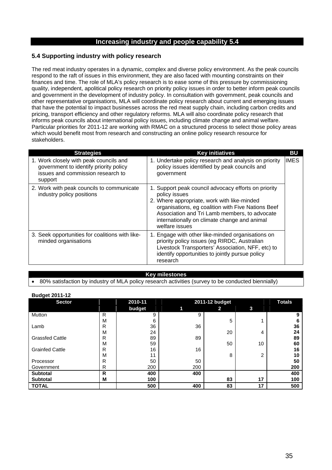## **5.4 Supporting industry with policy research**

**Budget 2011-12** 

The red meat industry operates in a dynamic, complex and diverse policy environment. As the peak councils respond to the raft of issues in this environment, they are also faced with mounting constraints on their finances and time. The role of MLA's policy research is to ease some of this pressure by commissioning quality, independent, apolitical policy research on priority policy issues in order to better inform peak councils and government in the development of industry policy. In consultation with government, peak councils and other representative organisations, MLA will coordinate policy research about current and emerging issues that have the potential to impact businesses across the red meat supply chain, including carbon credits and pricing, transport efficiency and other regulatory reforms. MLA will also coordinate policy research that informs peak councils about international policy issues, including climate change and animal welfare. Particular priorities for 2011-12 are working with RMAC on a structured process to select those policy areas which would benefit most from research and constructing an online policy research resource for stakeholders.

| <b>Strategies</b>                                                                                                                | <b>Key initiatives</b>                                                                                                                                                                                                                                                                        | <b>BU</b>   |
|----------------------------------------------------------------------------------------------------------------------------------|-----------------------------------------------------------------------------------------------------------------------------------------------------------------------------------------------------------------------------------------------------------------------------------------------|-------------|
| 1. Work closely with peak councils and<br>government to identify priority policy<br>issues and commission research to<br>support | 1. Undertake policy research and analysis on priority<br>policy issues identified by peak councils and<br>government                                                                                                                                                                          | <b>IMES</b> |
| 2. Work with peak councils to communicate<br>industry policy positions                                                           | 1. Support peak council advocacy efforts on priority<br>policy issues<br>2. Where appropriate, work with like-minded<br>organisations, eg coalition with Five Nations Beef<br>Association and Tri Lamb members, to advocate<br>internationally on climate change and animal<br>welfare issues |             |
| 3. Seek opportunities for coalitions with like-<br>minded organisations                                                          | 1. Engage with other like-minded organisations on<br>priority policy issues (eg RIRDC, Australian<br>Livestock Transporters' Association, NFF, etc) to<br>identify opportunities to jointly pursue policy<br>research                                                                         |             |

#### **Key milestones**

80% satisfaction by industry of MLA policy research activities (survey to be conducted biennially)

| <b>Duaget ZUTT-TZ</b>  |              |         |                |               |    |     |
|------------------------|--------------|---------|----------------|---------------|----|-----|
| <b>Sector</b>          |              | 2010-11 | 2011-12 budget | <b>Totals</b> |    |     |
|                        |              | budget  | 1              | $\mathbf{2}$  | 3  |     |
| Mutton                 | $\mathsf{R}$ | 9       | 9              |               |    | 9   |
|                        | M            | 6       |                | 5             |    | 6   |
| Lamb                   | R            | 36      | 36             |               |    | 36  |
|                        | M            | 24      |                | 20            | 4  | 24  |
| <b>Grassfed Cattle</b> | R            | 89      | 89             |               |    | 89  |
|                        | M            | 59      |                | 50            | 10 | 60  |
| <b>Grainfed Cattle</b> | R            | 16      | 16             |               |    | 16  |
|                        | M            | 11      |                | 8             | 2  | 10  |
| Processor              | R            | 50      | 50             |               |    | 50  |
| Government             | R            | 200     | 200            |               |    | 200 |
| <b>Subtotal</b>        | R            | 400     | 400            |               |    | 400 |
| <b>Subtotal</b>        | M            | 100     |                | 83            | 17 | 100 |
| <b>TOTAL</b>           |              | 500     | 400            | 83            | 17 | 500 |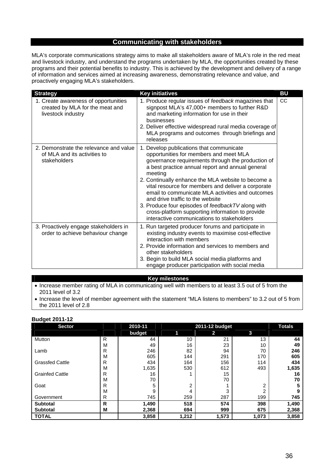# **Communicating with stakeholders**

MLA's corporate communications strategy aims to make all stakeholders aware of MLA's role in the red meat and livestock industry, and understand the programs undertaken by MLA, the opportunities created by these programs and their potential benefits to industry. This is achieved by the development and delivery of a range of information and services aimed at increasing awareness, demonstrating relevance and value, and proactively engaging MLA's stakeholders.

| <b>Strategy</b>                                                                               | <b>Key initiatives</b>                                                                                                                                                                                                                                                                                                                                                                                                                                                                                                                                            | <b>BU</b> |
|-----------------------------------------------------------------------------------------------|-------------------------------------------------------------------------------------------------------------------------------------------------------------------------------------------------------------------------------------------------------------------------------------------------------------------------------------------------------------------------------------------------------------------------------------------------------------------------------------------------------------------------------------------------------------------|-----------|
| 1. Create awareness of opportunities<br>created by MLA for the meat and<br>livestock industry | 1. Produce regular issues of feedback magazines that<br>signpost MLA's 47,000+ members to further R&D<br>and marketing information for use in their<br>businesses<br>2. Deliver effective widespread rural media coverage of<br>MLA programs and outcomes through briefings and<br>releases                                                                                                                                                                                                                                                                       | CC        |
| 2. Demonstrate the relevance and value<br>of MLA and its activities to<br>stakeholders        | 1. Develop publications that communicate<br>opportunities for members and meet MLA<br>governance requirements through the production of<br>a best practice annual report and annual general<br>meeting<br>2. Continually enhance the MLA website to become a<br>vital resource for members and deliver a corporate<br>email to communicate MLA activities and outcomes<br>and drive traffic to the website<br>3. Produce four episodes of feedbackTV along with<br>cross-platform supporting information to provide<br>interactive communications to stakeholders |           |
| 3. Proactively engage stakeholders in<br>order to achieve behaviour change                    | 1. Run targeted producer forums and participate in<br>existing industry events to maximise cost-effective<br>interaction with members<br>2. Provide information and services to members and<br>other stakeholders<br>3. Begin to build MLA social media platforms and<br>engage producer participation with social media                                                                                                                                                                                                                                          |           |

#### **Key milestones**

- Increase member rating of MLA in communicating well with members to at least 3.5 out of 5 from the 2011 level of 3.2
- Increase the level of member agreement with the statement "MLA listens to members" to 3.2 out of 5 from the 2011 level of 2.8

| <b>Sector</b>          |   | 2010-11 |       | 2011-12 budget |       |       |  |  |  |  |  |  |
|------------------------|---|---------|-------|----------------|-------|-------|--|--|--|--|--|--|
|                        |   | budget  | 1     | 2              | 3     |       |  |  |  |  |  |  |
| Mutton                 | R | 44      | 10    | 21             | 13    | 44    |  |  |  |  |  |  |
|                        | M | 49      | 16    | 23             | 10    | 49    |  |  |  |  |  |  |
| Lamb                   | R | 246     | 82    | 94             | 70    | 246   |  |  |  |  |  |  |
|                        | M | 605     | 144   | 291            | 170   | 605   |  |  |  |  |  |  |
| <b>Grassfed Cattle</b> | R | 434     | 164   | 156            | 114   | 434   |  |  |  |  |  |  |
|                        | M | 1,635   | 530   | 612            | 493   | 1,635 |  |  |  |  |  |  |
| <b>Grainfed Cattle</b> | R | 16      |       | 15             |       | 16    |  |  |  |  |  |  |
|                        | M | 70      |       | 70             |       | 70    |  |  |  |  |  |  |
| Goat                   | R | 5       | 2     |                | 2     |       |  |  |  |  |  |  |
|                        | M | 9       | 4     | 3              | 2     |       |  |  |  |  |  |  |
| Government             | R | 745     | 259   | 287            | 199   | 745   |  |  |  |  |  |  |
| <b>Subtotal</b>        | R | 1,490   | 518   | 574            | 398   | 1,490 |  |  |  |  |  |  |
| <b>Subtotal</b>        | M | 2,368   | 694   | 999            | 675   | 2,368 |  |  |  |  |  |  |
| <b>TOTAL</b>           |   | 3,858   | 1,212 | 1,573          | 1,073 | 3,858 |  |  |  |  |  |  |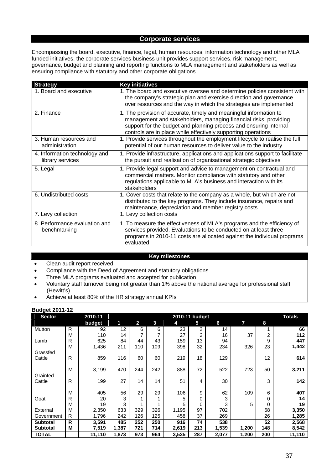# **Corporate services**

Encompassing the board, executive, finance, legal, human resources, information technology and other MLA funded initiatives, the corporate services business unit provides support services, risk management, governance, budget and planning and reporting functions to MLA management and stakeholders as well as ensuring compliance with statutory and other corporate obligations.

| <b>Strategy</b>                                   | <b>Key initiatives</b>                                                                                                                                                                                                                                                       |
|---------------------------------------------------|------------------------------------------------------------------------------------------------------------------------------------------------------------------------------------------------------------------------------------------------------------------------------|
| 1. Board and executive                            | 1. The board and executive oversee and determine policies consistent with<br>the company's strategic plan and exercise direction and governance<br>over resources and the way in which the strategies are implemented                                                        |
| 2. Finance                                        | 1. The provision of accurate, timely and meaningful information to<br>management and stakeholders, managing financial risks, providing<br>support for the budget and planning process and ensuring internal<br>controls are in place while effectively supporting operations |
| 3. Human resources and<br>administration          | 1. Provide services throughout the employment lifecycle to realise the full<br>potential of our human resources to deliver value to the industry                                                                                                                             |
| 4. Information technology and<br>library services | 1. Provide infrastructure, applications and applications support to facilitate<br>the pursuit and realisation of organisational strategic objectives                                                                                                                         |
| 5. Legal                                          | 1. Provide legal support and advice to management on contractual and<br>commercial matters. Monitor compliance with statutory and other<br>regulations applicable to MLA's business and interaction with its<br>stakeholders                                                 |
| 6. Undistributed costs                            | 1. Cover costs that relate to the company as a whole, but which are not<br>distributed to the key programs. They include insurance, repairs and<br>maintenance, depreciation and member registry costs                                                                       |
| 7. Levy collection                                | 1. Levy collection costs                                                                                                                                                                                                                                                     |
| 8. Performance evaluation and<br>benchmarking     | 1. To measure the effectiveness of MLA's programs and the efficiency of<br>services provided. Evaluations to be conducted on at least three<br>programs in 2010-11 costs are allocated against the individual programs<br>evaluated                                          |

# **Key milestones**

- Clean audit report received
- Compliance with the Deed of Agreement and statutory obligations
- Three MLA programs evaluated and accepted for publication
- Voluntary staff turnover being not greater than 1% above the national average for professional staff (Hewitt's)
- Achieve at least 80% of the HR strategy annual KPIs

| <b>Sector</b>   |   | 2010-11 |       |                |     |       | 2010-11 budget |       |       |     | <b>Totals</b> |
|-----------------|---|---------|-------|----------------|-----|-------|----------------|-------|-------|-----|---------------|
|                 |   | budget  | 1     | $\overline{2}$ | 3   | 4     | 5              | 6     | 7     | 8   |               |
| Mutton          | R | 92      | 12    | 6              | 6   | 23    | 2              | 14    |       | 1   | 66            |
|                 | M | 110     | 14    |                | 7   | 27    | 2              | 16    | 37    | 2   | 112           |
| Lamb            | R | 625     | 84    | 44             | 43  | 159   | 13             | 94    |       | 9   | 447           |
|                 | M | 1,436   | 211   | 110            | 109 | 398   | 32             | 234   | 326   | 23  | 1,442         |
| Grassfed        |   |         |       |                |     |       |                |       |       |     |               |
| Cattle          | R | 859     | 116   | 60             | 60  | 219   | 18             | 129   |       | 12  | 614           |
|                 |   |         |       |                |     |       |                |       |       |     |               |
|                 | M | 3,199   | 470   | 244            | 242 | 888   | 72             | 522   | 723   | 50  | 3,211         |
| Grainfed        |   |         |       |                |     |       |                |       |       |     |               |
| Cattle          | R | 199     | 27    | 14             | 14  | 51    | 4              | 30    |       | 3   | 142           |
|                 |   |         |       |                |     |       |                |       |       |     |               |
|                 | M | 405     | 56    | 29             | 29  | 106   | 9              | 62    | 109   | 6   | 407           |
| Goat            | R | 20      | 3     |                |     | 5     | 0              | 3     |       | 0   | 14            |
|                 | M | 19      | 3     |                |     | 5     | 0              | 3     | 5     | 0   | 19            |
| External        | M | 2,350   | 633   | 329            | 326 | 1,195 | 97             | 702   |       | 68  | 3,350         |
| Government      | R | 1,796   | 242   | 126            | 125 | 458   | 37             | 269   |       | 26  | 1,285         |
| <b>Subtotal</b> | R | 3,591   | 485   | 252            | 250 | 916   | 74             | 538   |       | 52  | 2,568         |
| <b>Subtotal</b> | M | 7,519   | 1,387 | 721            | 714 | 2,619 | 213            | 1,539 | 1,200 | 148 | 8,542         |
| <b>TOTAL</b>    |   | 11,110  | 1,873 | 973            | 964 | 3,535 | 287            | 2,077 | 1,200 | 200 | 11,110        |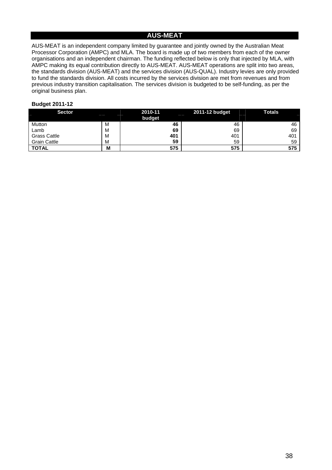# **AUS-MEAT**

AUS-MEAT is an independent company limited by guarantee and jointly owned by the Australian Meat Processor Corporation (AMPC) and MLA. The board is made up of two members from each of the owner organisations and an independent chairman. The funding reflected below is only that injected by MLA, with AMPC making its equal contribution directly to AUS-MEAT. AUS-MEAT operations are split into two areas, the standards division (AUS-MEAT) and the services division (AUS-QUAL). Industry levies are only provided to fund the standards division. All costs incurred by the services division are met from revenues and from previous industry transition capitalisation. The services division is budgeted to be self-funding, as per the original business plan.

| Sector              |   | 2010-11<br>budget | 2011-12 budget<br>-- | <b>Totals</b> |
|---------------------|---|-------------------|----------------------|---------------|
| Mutton              | M | 46                | 46                   | 46            |
| Lamb                | M | 69                | 69                   | 69            |
| <b>Grass Cattle</b> | M | 401               | 401                  | 401           |
| <b>Grain Cattle</b> | M | 59                | 59                   | 59            |
| <b>TOTAL</b>        | M | 575               | 575                  | 575           |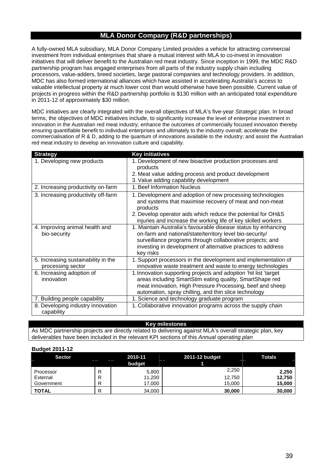# **MLA Donor Company (R&D partnerships)**

A fully-owned MLA subsidiary, MLA Donor Company Limited provides a vehicle for attracting commercial investment from individual enterprises that share a mutual interest with MLA to co-invest in innovation initiatives that will deliver benefit to the Australian red meat industry. Since inception in 1999, the MDC R&D partnership program has engaged enterprises from all parts of the industry supply chain including processors, value-adders, breed societies, large pastoral companies and technology providers. In addition, MDC has also formed international alliances which have assisted in accelerating Australia's access to valuable intellectual property at much lower cost than would otherwise have been possible. Current value of projects in progress within the R&D partnership portfolio is \$130 million with an anticipated total expenditure in 2011-12 of approximately \$30 million.

MDC initiatives are clearly integrated with the overall objectives of MLA's five-year *Strategic plan.* In broad terms, the objectives of MDC initiatives include, to significantly increase the level of enterprise investment in innovation in the Australian red meat industry; enhance the outcomes of commercially focused innovation thereby ensuring quantifiable benefit to individual enterprises and ultimately to the industry overall; accelerate the commercialisation of R & D, adding to the quantum of innovations available to the industry; and assist the Australian red meat industry to develop an innovation culture and capability.

| <b>Strategy</b>                                          | <b>Key initiatives</b>                                                                                                                                                                                                                                               |
|----------------------------------------------------------|----------------------------------------------------------------------------------------------------------------------------------------------------------------------------------------------------------------------------------------------------------------------|
| 1. Developing new products                               | 1. Development of new bioactive production processes and<br>products<br>2. Meat value adding process and product development<br>3. Value adding capability development                                                                                               |
| 2. Increasing productivity on-farm                       | 1. Beef Information Nucleus                                                                                                                                                                                                                                          |
| 3. Increasing productivity off-farm                      | 1. Development and adoption of new processing technologies<br>and systems that maximise recovery of meat and non-meat<br>products<br>2. Develop operator aids which reduce the potential for OH&S<br>injuries and increase the working life of key skilled workers   |
| 4. Improving animal health and<br>bio-security           | 1. Maintain Australia's favourable disease status by enhancing<br>on-farm and national/state/territory level bio-security/<br>surveillance programs through collaborative projects; and<br>investing in development of alternative practices to address<br>key risks |
| 5. Increasing sustainability in the<br>processing sector | 1. Support processors in the development and implementation of<br>innovative waste treatment and waste to energy technologies                                                                                                                                        |
| 6. Increasing adoption of<br>innovation                  | 1. Innovation supporting projects and adoption 'hit list 'target<br>areas including SmartStim eating quality, SmartShape red<br>meat innovation, High Pressure Processing, beef and sheep<br>automation, spray chilling, and thin slice technology                   |
| 7. Building people capability                            | 1. Science and technology graduate program                                                                                                                                                                                                                           |
| 8. Developing industry innovation<br>capability          | 1. Collaborative innovation programs across the supply chain                                                                                                                                                                                                         |

#### **Key milestones**

As MDC partnership projects are directly related to delivering against MLA's overall strategic plan, key deliverables have been included in the relevant KPI sections of this *Annual operating plan*

| <b>Sector</b> |    | 2010-11 | 2011-12 budget | <b>Totals</b> |
|---------------|----|---------|----------------|---------------|
|               |    | budget  |                |               |
| Processor     | D  | 5,800   | 2,250          | 2,250         |
| External      | R  | 11,200  | 12,750         | 12,750        |
| Government    | R  | 17,000  | 15,000         | 15,000        |
| <b>TOTAL</b>  | רו | 34,000  | 30,000         | 30,000        |